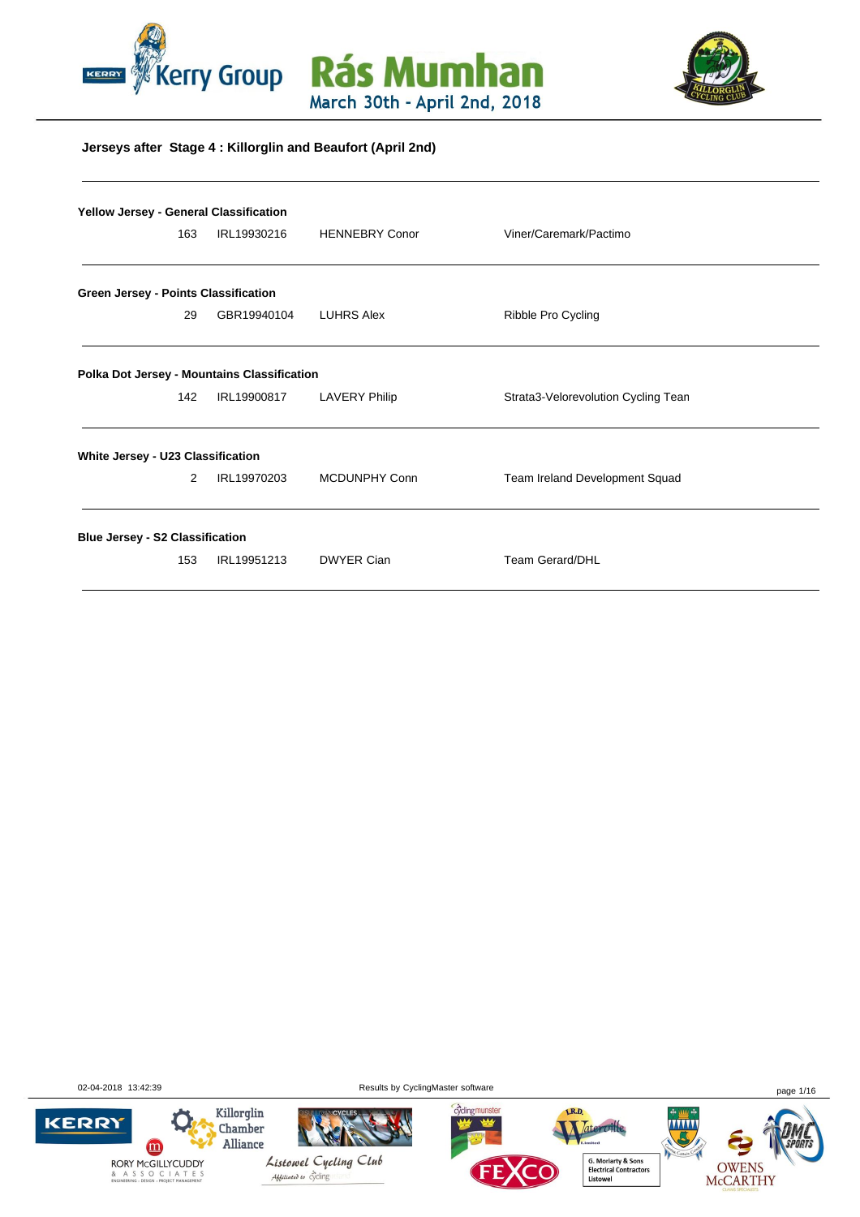





#### **Jerseys after Stage 4 : Killorglin and Beaufort (April 2nd)**

|                                        | <b>Yellow Jersey - General Classification</b> |                                             |                       |                                     |  |  |  |  |  |  |
|----------------------------------------|-----------------------------------------------|---------------------------------------------|-----------------------|-------------------------------------|--|--|--|--|--|--|
|                                        | 163                                           | IRL19930216                                 | <b>HENNEBRY Conor</b> | Viner/Caremark/Pactimo              |  |  |  |  |  |  |
| Green Jersey - Points Classification   |                                               |                                             |                       |                                     |  |  |  |  |  |  |
|                                        | 29                                            | GBR19940104                                 | <b>LUHRS Alex</b>     | Ribble Pro Cycling                  |  |  |  |  |  |  |
|                                        |                                               | Polka Dot Jersey - Mountains Classification |                       |                                     |  |  |  |  |  |  |
|                                        | 142                                           | IRL19900817                                 | <b>LAVERY Philip</b>  | Strata3-Velorevolution Cycling Tean |  |  |  |  |  |  |
| White Jersey - U23 Classification      |                                               |                                             |                       |                                     |  |  |  |  |  |  |
|                                        | 2                                             | IRL19970203                                 | MCDUNPHY Conn         | Team Ireland Development Squad      |  |  |  |  |  |  |
| <b>Blue Jersey - S2 Classification</b> |                                               |                                             |                       |                                     |  |  |  |  |  |  |
|                                        | 153                                           | IRL19951213                                 | <b>DWYER Cian</b>     | <b>Team Gerard/DHL</b>              |  |  |  |  |  |  |

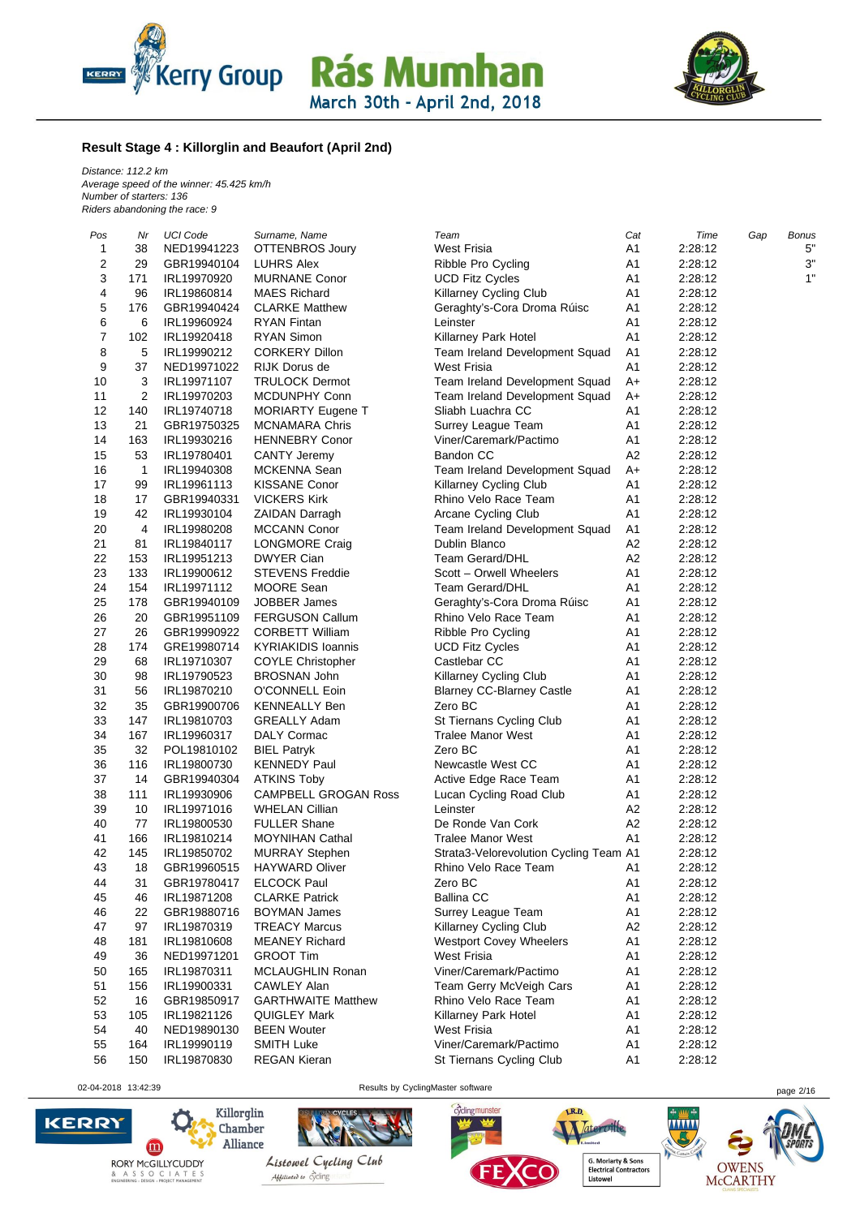



#### **Result Stage 4 : Killorglin and Beaufort (April 2nd)**

*Distance: 112.2 km Average speed of the winner: 45.425 km/h Number of starters: 136 Riders abandoning the race: 9*

| Pos | Nr           | UCI Code    | Surname, Name                                     | Team                                   | Cat            | Time    | Gap | Bonus |
|-----|--------------|-------------|---------------------------------------------------|----------------------------------------|----------------|---------|-----|-------|
| 1   | 38           | NED19941223 | OTTENBROS Joury                                   | <b>West Frisia</b>                     | A1             | 2:28:12 |     | 5"    |
| 2   | 29           | GBR19940104 | LUHRS Alex                                        | Ribble Pro Cycling                     | A1             | 2:28:12 |     | 3"    |
| 3   | 171          | IRL19970920 | <b>MURNANE Conor</b>                              | <b>UCD Fitz Cycles</b>                 | A <sub>1</sub> | 2:28:12 |     | 1"    |
| 4   | 96           | IRL19860814 | <b>MAES Richard</b>                               | Killarney Cycling Club                 | A <sub>1</sub> | 2:28:12 |     |       |
| 5   | 176          | GBR19940424 | <b>CLARKE Matthew</b>                             | Geraghty's-Cora Droma Rúisc            | A1             | 2:28:12 |     |       |
| 6   | 6            | IRL19960924 | <b>RYAN Fintan</b>                                | Leinster                               | A1             | 2:28:12 |     |       |
| 7   | 102          | IRL19920418 | <b>RYAN Simon</b>                                 | Killarney Park Hotel                   | A1             | 2:28:12 |     |       |
| 8   | 5            | IRL19990212 | <b>CORKERY Dillon</b>                             | Team Ireland Development Squad         | A <sub>1</sub> | 2:28:12 |     |       |
| 9   | 37           | NED19971022 | RIJK Dorus de                                     | West Frisia                            | A <sub>1</sub> | 2:28:12 |     |       |
| 10  | 3            | IRL19971107 | <b>TRULOCK Dermot</b>                             | Team Ireland Development Squad         | A+             | 2:28:12 |     |       |
| 11  | 2            | IRL19970203 | MCDUNPHY Conn                                     | Team Ireland Development Squad         | $A+$           | 2:28:12 |     |       |
| 12  | 140          | IRL19740718 | <b>MORIARTY Eugene T</b>                          | Sliabh Luachra CC                      | A1             | 2:28:12 |     |       |
| 13  | 21           | GBR19750325 | <b>MCNAMARA Chris</b>                             | Surrey League Team                     | A1             | 2:28:12 |     |       |
| 14  | 163          | IRL19930216 | <b>HENNEBRY Conor</b>                             | Viner/Caremark/Pactimo                 | A <sub>1</sub> | 2:28:12 |     |       |
| 15  | 53           |             |                                                   | <b>Bandon CC</b>                       | A <sub>2</sub> |         |     |       |
|     |              | IRL19780401 | <b>CANTY Jeremy</b>                               |                                        |                | 2:28:12 |     |       |
| 16  | $\mathbf{1}$ | IRL19940308 | MCKENNA Sean                                      | Team Ireland Development Squad         | $A+$           | 2:28:12 |     |       |
| 17  | 99           | IRL19961113 | <b>KISSANE Conor</b>                              | Killarney Cycling Club                 | A1             | 2:28:12 |     |       |
| 18  | 17           | GBR19940331 | <b>VICKERS Kirk</b>                               | Rhino Velo Race Team                   | A <sub>1</sub> | 2:28:12 |     |       |
| 19  | 42           | IRL19930104 | <b>ZAIDAN Darragh</b>                             | <b>Arcane Cycling Club</b>             | A <sub>1</sub> | 2:28:12 |     |       |
| 20  | 4            | IRL19980208 | <b>MCCANN Conor</b>                               | Team Ireland Development Squad         | A1             | 2:28:12 |     |       |
| 21  | 81           | IRL19840117 | LONGMORE Craig                                    | Dublin Blanco                          | A <sub>2</sub> | 2:28:12 |     |       |
| 22  | 153          | IRL19951213 | <b>DWYER Cian</b>                                 | <b>Team Gerard/DHL</b>                 | A <sub>2</sub> | 2:28:12 |     |       |
| 23  | 133          | IRL19900612 | <b>STEVENS Freddie</b>                            | Scott - Orwell Wheelers                | A1             | 2:28:12 |     |       |
| 24  | 154          | IRL19971112 | MOORE Sean                                        | <b>Team Gerard/DHL</b>                 | A <sub>1</sub> | 2:28:12 |     |       |
| 25  | 178          | GBR19940109 | <b>JOBBER James</b>                               | Geraghty's-Cora Droma Rúisc            | A1             | 2:28:12 |     |       |
| 26  | 20           | GBR19951109 | <b>FERGUSON Callum</b>                            | Rhino Velo Race Team                   | A <sub>1</sub> | 2:28:12 |     |       |
| 27  | 26           | GBR19990922 | <b>CORBETT William</b>                            | Ribble Pro Cycling                     | A <sub>1</sub> | 2:28:12 |     |       |
| 28  | 174          | GRE19980714 | <b>KYRIAKIDIS Ioannis</b>                         | <b>UCD Fitz Cycles</b>                 | A1             | 2:28:12 |     |       |
| 29  | 68           | IRL19710307 | <b>COYLE Christopher</b>                          | Castlebar CC                           | A <sub>1</sub> | 2:28:12 |     |       |
| 30  | 98           | IRL19790523 | <b>BROSNAN John</b>                               | Killarney Cycling Club                 | A1             | 2:28:12 |     |       |
| 31  | 56           | IRL19870210 | O'CONNELL Eoin                                    | <b>Blarney CC-Blarney Castle</b>       | A <sub>1</sub> | 2:28:12 |     |       |
| 32  | 35           | GBR19900706 | <b>KENNEALLY Ben</b>                              | Zero BC                                | A1             | 2:28:12 |     |       |
| 33  | 147          | IRL19810703 | <b>GREALLY Adam</b>                               | St Tiernans Cycling Club               | A1             | 2:28:12 |     |       |
| 34  | 167          | IRL19960317 | DALY Cormac                                       | <b>Tralee Manor West</b>               | A <sub>1</sub> | 2:28:12 |     |       |
| 35  | 32           | POL19810102 | <b>BIEL Patryk</b>                                | Zero BC                                | A1             | 2:28:12 |     |       |
| 36  | 116          | IRL19800730 | <b>KENNEDY Paul</b>                               | Newcastle West CC                      | A <sub>1</sub> | 2:28:12 |     |       |
| 37  | 14           |             |                                                   |                                        | A <sub>1</sub> |         |     |       |
|     |              | GBR19940304 | <b>ATKINS Toby</b><br><b>CAMPBELL GROGAN Ross</b> | Active Edge Race Team                  |                | 2:28:12 |     |       |
| 38  | 111          | IRL19930906 |                                                   | Lucan Cycling Road Club                | A <sub>1</sub> | 2:28:12 |     |       |
| 39  | 10           | IRL19971016 | <b>WHELAN Cillian</b>                             | Leinster                               | A <sub>2</sub> | 2:28:12 |     |       |
| 40  | 77           | IRL19800530 | <b>FULLER Shane</b>                               | De Ronde Van Cork                      | A <sub>2</sub> | 2:28:12 |     |       |
| 41  | 166          | IRL19810214 | <b>MOYNIHAN Cathal</b>                            | <b>Tralee Manor West</b>               | A <sub>1</sub> | 2:28:12 |     |       |
| 42  | 145          | IRL19850702 | <b>MURRAY Stephen</b>                             | Strata3-Velorevolution Cycling Team A1 |                | 2:28:12 |     |       |
| 43  | 18           | GBR19960515 | <b>HAYWARD Oliver</b>                             | Rhino Velo Race Team                   | A1             | 2:28:12 |     |       |
| 44  | 31           | GBR19780417 | <b>ELCOCK Paul</b>                                | Zero BC                                | A <sub>1</sub> | 2:28:12 |     |       |
| 45  | 46           | IRL19871208 | <b>CLARKE Patrick</b>                             | <b>Ballina CC</b>                      | Α1             | 2:28:12 |     |       |
| 46  | 22           | GBR19880716 | BOYMAN James                                      | Surrey League Team                     | A1             | 2:28:12 |     |       |
| 47  | 97           | IRL19870319 | <b>TREACY Marcus</b>                              | Killarney Cycling Club                 | A <sub>2</sub> | 2:28:12 |     |       |
| 48  | 181          | IRL19810608 | <b>MEANEY Richard</b>                             | <b>Westport Covey Wheelers</b>         | A1             | 2:28:12 |     |       |
| 49  | 36           | NED19971201 | <b>GROOT Tim</b>                                  | <b>West Frisia</b>                     | A1             | 2:28:12 |     |       |
| 50  | 165          | IRL19870311 | <b>MCLAUGHLIN Ronan</b>                           | Viner/Caremark/Pactimo                 | A1             | 2:28:12 |     |       |
| 51  | 156          | IRL19900331 | <b>CAWLEY Alan</b>                                | Team Gerry McVeigh Cars                | A1             | 2:28:12 |     |       |
| 52  | 16           | GBR19850917 | <b>GARTHWAITE Matthew</b>                         | Rhino Velo Race Team                   | Α1             | 2:28:12 |     |       |
| 53  | 105          | IRL19821126 | QUIGLEY Mark                                      | Killarney Park Hotel                   | Α1             | 2:28:12 |     |       |
| 54  | 40           | NED19890130 | <b>BEEN Wouter</b>                                | <b>West Frisia</b>                     | A1             | 2:28:12 |     |       |
| 55  | 164          | IRL19990119 | <b>SMITH Luke</b>                                 | Viner/Caremark/Pactimo                 | A1             | 2:28:12 |     |       |
| 56  | 150          | IRL19870830 | <b>REGAN Kieran</b>                               | St Tiernans Cycling Club               | A1             | 2:28:12 |     |       |
|     |              |             |                                                   |                                        |                |         |     |       |

02-04-2018 13:42:39 **Page 2/16** Results by CyclingMaster software **page 2/16** page 2/16







**G. Moriarty & Sons<br>Electrical Contractors<br>Listowel** 

Tateroille,

....



**OWENS** 

**McCARTHY**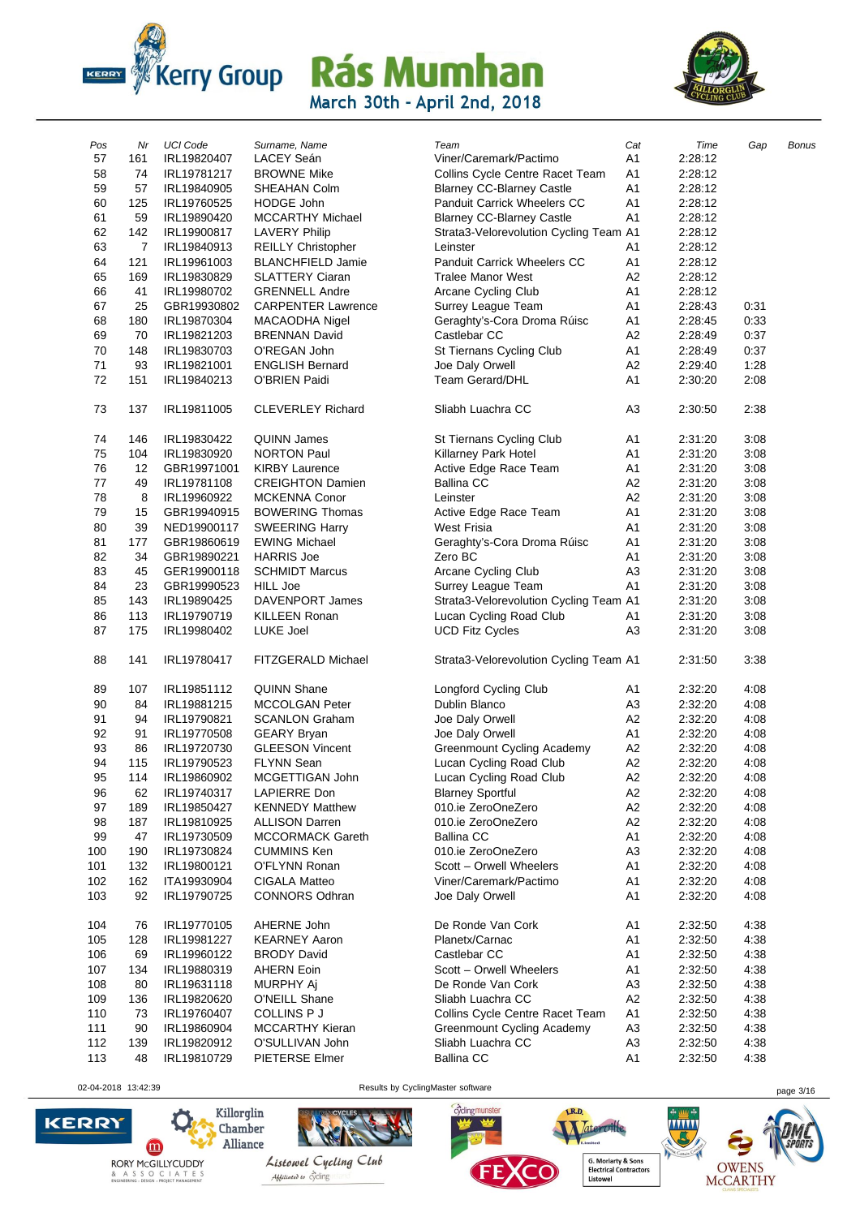



| Pos        | Nr  | <b>UCI Code</b> | Surname, Name             | Team                                   | Cat            | Time               | Gap  | Bonus |
|------------|-----|-----------------|---------------------------|----------------------------------------|----------------|--------------------|------|-------|
| 57         | 161 | IRL19820407     | LACEY Seán                | Viner/Caremark/Pactimo                 | A1             | 2:28:12            |      |       |
| 58         | 74  | IRL19781217     | <b>BROWNE Mike</b>        | Collins Cycle Centre Racet Team        | A <sub>1</sub> | 2:28:12            |      |       |
| 59         | 57  | IRL19840905     | SHEAHAN Colm              | <b>Blarney CC-Blarney Castle</b>       | A1             | 2:28:12            |      |       |
| 60         | 125 | IRL19760525     | <b>HODGE John</b>         | <b>Panduit Carrick Wheelers CC</b>     | A <sub>1</sub> | 2:28:12            |      |       |
| 61         | 59  | IRL19890420     | <b>MCCARTHY Michael</b>   | <b>Blarney CC-Blarney Castle</b>       | A1             | 2:28:12            |      |       |
| 62         | 142 | IRL19900817     | <b>LAVERY Philip</b>      | Strata3-Velorevolution Cycling Team A1 |                | 2:28:12            |      |       |
| 63         | 7   | IRL19840913     | <b>REILLY Christopher</b> | Leinster                               | A1             | 2:28:12            |      |       |
| 64         | 121 | IRL19961003     | <b>BLANCHFIELD Jamie</b>  | <b>Panduit Carrick Wheelers CC</b>     | A1             | 2:28:12            |      |       |
| 65         | 169 | IRL19830829     | <b>SLATTERY Ciaran</b>    | <b>Tralee Manor West</b>               | A <sub>2</sub> | 2:28:12            |      |       |
| 66         | 41  | IRL19980702     | <b>GRENNELL Andre</b>     | Arcane Cycling Club                    | A1             | 2:28:12            |      |       |
| 67         | 25  | GBR19930802     | <b>CARPENTER Lawrence</b> |                                        | A <sub>1</sub> | 2:28:43            | 0:31 |       |
|            |     |                 |                           | Surrey League Team                     |                |                    |      |       |
| 68         | 180 | IRL19870304     | MACAODHA Nigel            | Geraghty's-Cora Droma Rúisc            | A <sub>1</sub> | 2:28:45            | 0:33 |       |
| 69         | 70  | IRL19821203     | <b>BRENNAN David</b>      | Castlebar CC                           | A <sub>2</sub> | 2:28:49            | 0:37 |       |
| 70         | 148 | IRL19830703     | O'REGAN John              | St Tiernans Cycling Club               | A <sub>1</sub> | 2:28:49            | 0:37 |       |
| 71         | 93  | IRL19821001     | <b>ENGLISH Bernard</b>    | Joe Daly Orwell                        | A <sub>2</sub> | 2:29:40            | 1:28 |       |
| 72         | 151 | IRL19840213     | O'BRIEN Paidi             | Team Gerard/DHL                        | A <sub>1</sub> | 2:30:20            | 2:08 |       |
| 73         | 137 | IRL19811005     | <b>CLEVERLEY Richard</b>  | Sliabh Luachra CC                      | A <sub>3</sub> | 2:30:50            | 2:38 |       |
| 74         | 146 | IRL19830422     | <b>QUINN James</b>        | St Tiernans Cycling Club               | A <sub>1</sub> | 2:31:20            | 3:08 |       |
| 75         | 104 | IRL19830920     | <b>NORTON Paul</b>        | Killarney Park Hotel                   | A <sub>1</sub> | 2:31:20            | 3:08 |       |
| 76         | 12  | GBR19971001     | <b>KIRBY Laurence</b>     | Active Edge Race Team                  | A <sub>1</sub> | 2:31:20            | 3:08 |       |
| 77         | 49  | IRL19781108     | <b>CREIGHTON Damien</b>   | <b>Ballina CC</b>                      | A <sub>2</sub> | 2:31:20            | 3:08 |       |
| 78         | 8   | IRL19960922     | <b>MCKENNA Conor</b>      | Leinster                               | A <sub>2</sub> | 2:31:20            | 3:08 |       |
| 79         | 15  | GBR19940915     | <b>BOWERING Thomas</b>    | Active Edge Race Team                  | A <sub>1</sub> | 2:31:20            | 3:08 |       |
| 80         | 39  | NED19900117     | <b>SWEERING Harry</b>     | <b>West Frisia</b>                     | A <sub>1</sub> | 2:31:20            | 3:08 |       |
| 81         | 177 | GBR19860619     | <b>EWING Michael</b>      | Geraghty's-Cora Droma Rúisc            | A <sub>1</sub> | 2:31:20            | 3:08 |       |
| 82         | 34  | GBR19890221     | <b>HARRIS Joe</b>         | Zero BC                                | A1             | 2:31:20            | 3:08 |       |
| 83         | 45  | GER19900118     | <b>SCHMIDT Marcus</b>     | Arcane Cycling Club                    | A <sub>3</sub> | 2:31:20            | 3:08 |       |
| 84         | 23  | GBR19990523     | <b>HILL Joe</b>           | Surrey League Team                     | A1             | 2:31:20            | 3:08 |       |
| 85         | 143 | IRL19890425     | <b>DAVENPORT James</b>    | Strata3-Velorevolution Cycling Team A1 |                | 2:31:20            | 3:08 |       |
| 86         | 113 | IRL19790719     | <b>KILLEEN Ronan</b>      | Lucan Cycling Road Club                | A <sub>1</sub> | 2:31:20            | 3:08 |       |
| 87         | 175 | IRL19980402     | LUKE Joel                 | <b>UCD Fitz Cycles</b>                 | A3             | 2:31:20            | 3:08 |       |
| 88         | 141 | IRL19780417     | FITZGERALD Michael        | Strata3-Velorevolution Cycling Team A1 |                | 2:31:50            | 3:38 |       |
| 89         | 107 | IRL19851112     | <b>QUINN Shane</b>        | Longford Cycling Club                  | A <sub>1</sub> | 2:32:20            | 4:08 |       |
| 90         | 84  | IRL19881215     | <b>MCCOLGAN Peter</b>     | Dublin Blanco                          | A <sub>3</sub> | 2:32:20            | 4:08 |       |
| 91         | 94  | IRL19790821     | <b>SCANLON Graham</b>     | Joe Daly Orwell                        | A <sub>2</sub> | 2:32:20            | 4:08 |       |
| 92         | 91  | IRL19770508     | <b>GEARY Bryan</b>        | Joe Daly Orwell                        | A <sub>1</sub> | 2:32:20            | 4:08 |       |
| 93         | 86  | IRL19720730     | <b>GLEESON Vincent</b>    | Greenmount Cycling Academy             | A <sub>2</sub> | 2:32:20            | 4:08 |       |
| 94         | 115 | IRL19790523     | <b>FLYNN Sean</b>         | Lucan Cycling Road Club                | A <sub>2</sub> | 2:32:20            | 4:08 |       |
| 95         | 114 | IRL19860902     | MCGETTIGAN John           | Lucan Cycling Road Club                | A <sub>2</sub> | 2:32:20            | 4:08 |       |
| 96         | 62  | IRL19740317     | <b>LAPIERRE Don</b>       | <b>Blarney Sportful</b>                | A2             | 2:32:20            | 4:08 |       |
| 97         | 189 | IRL19850427     | <b>KENNEDY Matthew</b>    | 010.ie ZeroOneZero                     | A <sub>2</sub> | 2:32:20            | 4:08 |       |
| 98         | 187 | IRL19810925     | <b>ALLISON Darren</b>     | 010.ie ZeroOneZero                     | A <sub>2</sub> | 2:32:20            | 4:08 |       |
| 99         | 47  | IRL19730509     | <b>MCCORMACK Gareth</b>   | <b>Ballina CC</b>                      | A <sub>1</sub> | 2:32:20            | 4:08 |       |
| 100        | 190 | IRL19730824     | <b>CUMMINS Ken</b>        | 010.ie ZeroOneZero                     | A <sub>3</sub> | 2:32:20            | 4:08 |       |
| 101        | 132 | IRL19800121     | O'FLYNN Ronan             | Scott - Orwell Wheelers                | A <sub>1</sub> | 2:32:20            | 4:08 |       |
|            | 162 | ITA19930904     | CIGALA Matteo             | Viner/Caremark/Pactimo                 | A <sub>1</sub> |                    | 4:08 |       |
| 102<br>103 | 92  | IRL19790725     | <b>CONNORS Odhran</b>     | Joe Daly Orwell                        | A <sub>1</sub> | 2:32:20<br>2:32:20 | 4:08 |       |
|            |     |                 |                           |                                        |                |                    |      |       |
| 104        | 76  | IRL19770105     | AHERNE John               | De Ronde Van Cork                      | A <sub>1</sub> | 2:32:50            | 4:38 |       |
| 105        | 128 | IRL19981227     | <b>KEARNEY Aaron</b>      | Planetx/Carnac                         | A <sub>1</sub> | 2:32:50            | 4:38 |       |
| 106        | 69  | IRL19960122     | <b>BRODY David</b>        | Castlebar CC                           | A1             | 2:32:50            | 4:38 |       |
| 107        | 134 | IRL19880319     | <b>AHERN Eoin</b>         | Scott - Orwell Wheelers                | A <sub>1</sub> | 2:32:50            | 4:38 |       |
| 108        | 80  | IRL19631118     | MURPHY Aj                 | De Ronde Van Cork                      | A <sub>3</sub> | 2:32:50            | 4:38 |       |
| 109        | 136 | IRL19820620     | O'NEILL Shane             | Sliabh Luachra CC                      | A <sub>2</sub> | 2:32:50            | 4:38 |       |
| 110        | 73  | IRL19760407     | <b>COLLINS P J</b>        | Collins Cycle Centre Racet Team        | A <sub>1</sub> | 2:32:50            | 4:38 |       |
| 111        | 90  | IRL19860904     | <b>MCCARTHY Kieran</b>    | Greenmount Cycling Academy             | A <sub>3</sub> | 2:32:50            | 4:38 |       |
| 112        | 139 | IRL19820912     | O'SULLIVAN John           | Sliabh Luachra CC                      | A <sub>3</sub> | 2:32:50            | 4:38 |       |
| 113        | 48  | IRL19810729     | PIETERSE Elmer            | <b>Ballina CC</b>                      | A <sub>1</sub> | 2:32:50            | 4:38 |       |

02-04-2018 13:42:39 Results by CyclingMaster software page 3/16





cyclingmunster



G. Moriarty & Sons<br>Electrical Contractors<br>Listowel

imited

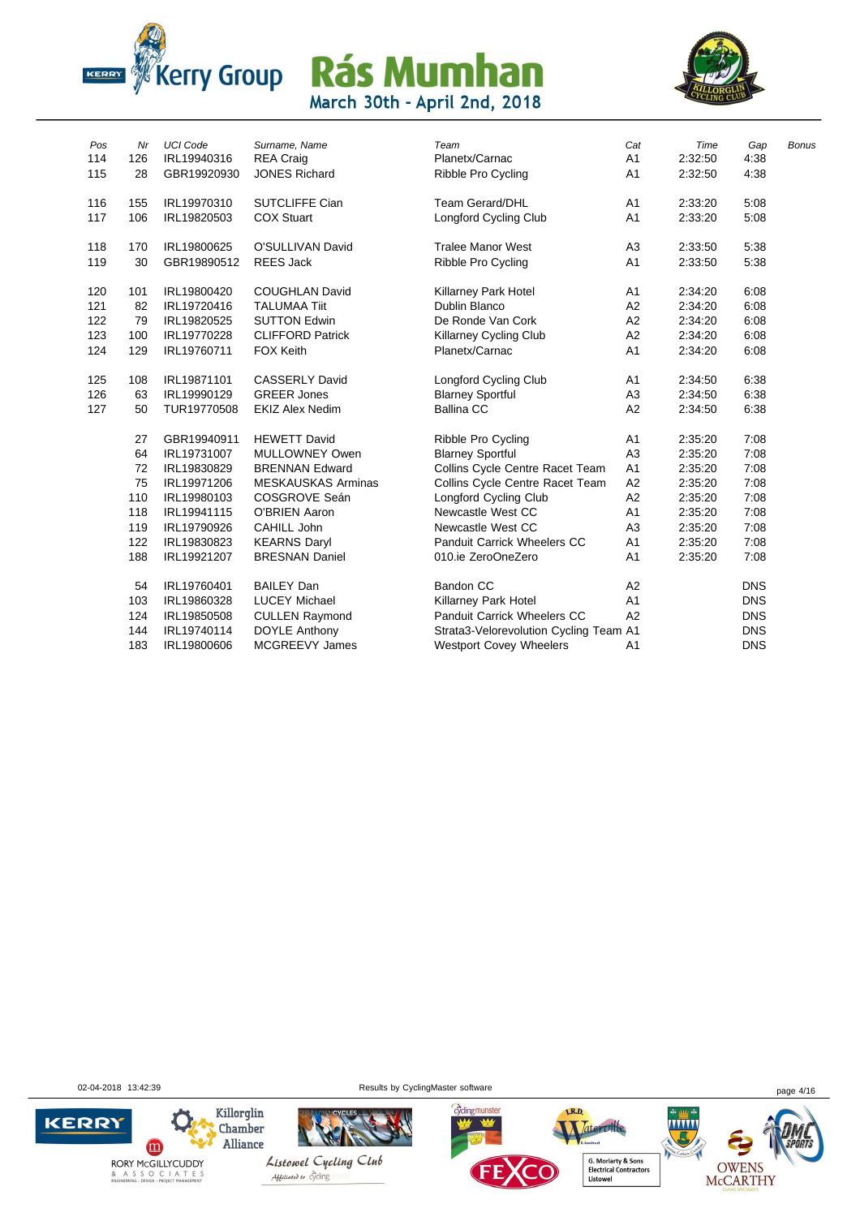



| Pos | Nr  | <b>UCI Code</b> | Surname, Name             | Team                                   | Cat            | Time    | Gap        | <b>Bonus</b> |
|-----|-----|-----------------|---------------------------|----------------------------------------|----------------|---------|------------|--------------|
| 114 | 126 | IRL19940316     | <b>REA Craig</b>          | Planetx/Carnac                         | A <sub>1</sub> | 2:32:50 | 4:38       |              |
| 115 | 28  | GBR19920930     | <b>JONES Richard</b>      | Ribble Pro Cycling                     | A <sub>1</sub> | 2:32:50 | 4:38       |              |
| 116 | 155 | IRL19970310     | <b>SUTCLIFFE Cian</b>     | <b>Team Gerard/DHL</b>                 | A <sub>1</sub> | 2:33:20 | 5:08       |              |
| 117 | 106 | IRL19820503     | <b>COX Stuart</b>         | Longford Cycling Club                  | A <sub>1</sub> | 2:33:20 | 5:08       |              |
| 118 | 170 | IRL19800625     | O'SULLIVAN David          | <b>Tralee Manor West</b>               | A <sub>3</sub> | 2:33:50 | 5:38       |              |
| 119 | 30  | GBR19890512     | <b>REES Jack</b>          | Ribble Pro Cycling                     | A <sub>1</sub> | 2:33:50 | 5:38       |              |
| 120 | 101 | IRL19800420     | <b>COUGHLAN David</b>     | Killarney Park Hotel                   | A <sub>1</sub> | 2:34:20 | 6:08       |              |
| 121 | 82  | IRL19720416     | <b>TALUMAA Tiit</b>       | <b>Dublin Blanco</b>                   | A <sub>2</sub> | 2:34:20 | 6:08       |              |
| 122 | 79  | IRL19820525     | <b>SUTTON Edwin</b>       | De Ronde Van Cork                      | A2             | 2:34:20 | 6:08       |              |
| 123 | 100 | IRL19770228     | <b>CLIFFORD Patrick</b>   | <b>Killarney Cycling Club</b>          | A2             | 2:34:20 | 6:08       |              |
| 124 | 129 | IRL19760711     | <b>FOX Keith</b>          | Planetx/Carnac                         | A <sub>1</sub> | 2:34:20 | 6:08       |              |
| 125 | 108 | IRL19871101     | <b>CASSERLY David</b>     | Longford Cycling Club                  | A <sub>1</sub> | 2:34:50 | 6:38       |              |
| 126 | 63  | IRL19990129     | <b>GREER Jones</b>        | <b>Blarney Sportful</b>                | A <sub>3</sub> | 2:34:50 | 6:38       |              |
| 127 | 50  | TUR19770508     | <b>EKIZ Alex Nedim</b>    | <b>Ballina CC</b>                      | A2             | 2:34:50 | 6:38       |              |
|     | 27  | GBR19940911     | <b>HEWETT David</b>       | Ribble Pro Cycling                     | A <sub>1</sub> | 2:35:20 | 7:08       |              |
|     | 64  | IRL19731007     | MULLOWNEY Owen            | <b>Blarney Sportful</b>                | A <sub>3</sub> | 2:35:20 | 7:08       |              |
|     | 72  | IRL19830829     | <b>BRENNAN Edward</b>     | Collins Cycle Centre Racet Team        | A <sub>1</sub> | 2:35:20 | 7:08       |              |
|     | 75  | IRL19971206     | <b>MESKAUSKAS Arminas</b> | Collins Cycle Centre Racet Team        | A2             | 2:35:20 | 7:08       |              |
|     | 110 | IRL19980103     | COSGROVE Seán             | <b>Longford Cycling Club</b>           | A2             | 2:35:20 | 7:08       |              |
|     | 118 | IRL19941115     | <b>O'BRIEN Aaron</b>      | Newcastle West CC                      | A <sub>1</sub> | 2:35:20 | 7:08       |              |
|     | 119 | IRL19790926     | CAHILL John               | Newcastle West CC                      | A <sub>3</sub> | 2:35:20 | 7:08       |              |
|     | 122 | IRL19830823     | <b>KEARNS Daryl</b>       | Panduit Carrick Wheelers CC            | A <sub>1</sub> | 2:35:20 | 7:08       |              |
|     | 188 | IRL19921207     | <b>BRESNAN Daniel</b>     | 010.ie ZeroOneZero                     | A <sub>1</sub> | 2:35:20 | 7:08       |              |
|     | 54  | IRL19760401     | <b>BAILEY Dan</b>         | Bandon CC                              | A2             |         | <b>DNS</b> |              |
|     | 103 | IRL19860328     | <b>LUCEY Michael</b>      | Killarney Park Hotel                   | A <sub>1</sub> |         | <b>DNS</b> |              |
|     | 124 | IRL19850508     | <b>CULLEN Raymond</b>     | <b>Panduit Carrick Wheelers CC</b>     | A2             |         | <b>DNS</b> |              |
|     | 144 | IRL19740114     | <b>DOYLE Anthony</b>      | Strata3-Velorevolution Cycling Team A1 |                |         | <b>DNS</b> |              |
|     | 183 | IRL19800606     | <b>MCGREEVY James</b>     | <b>Westport Covey Wheelers</b>         | A <sub>1</sub> |         | <b>DNS</b> |              |

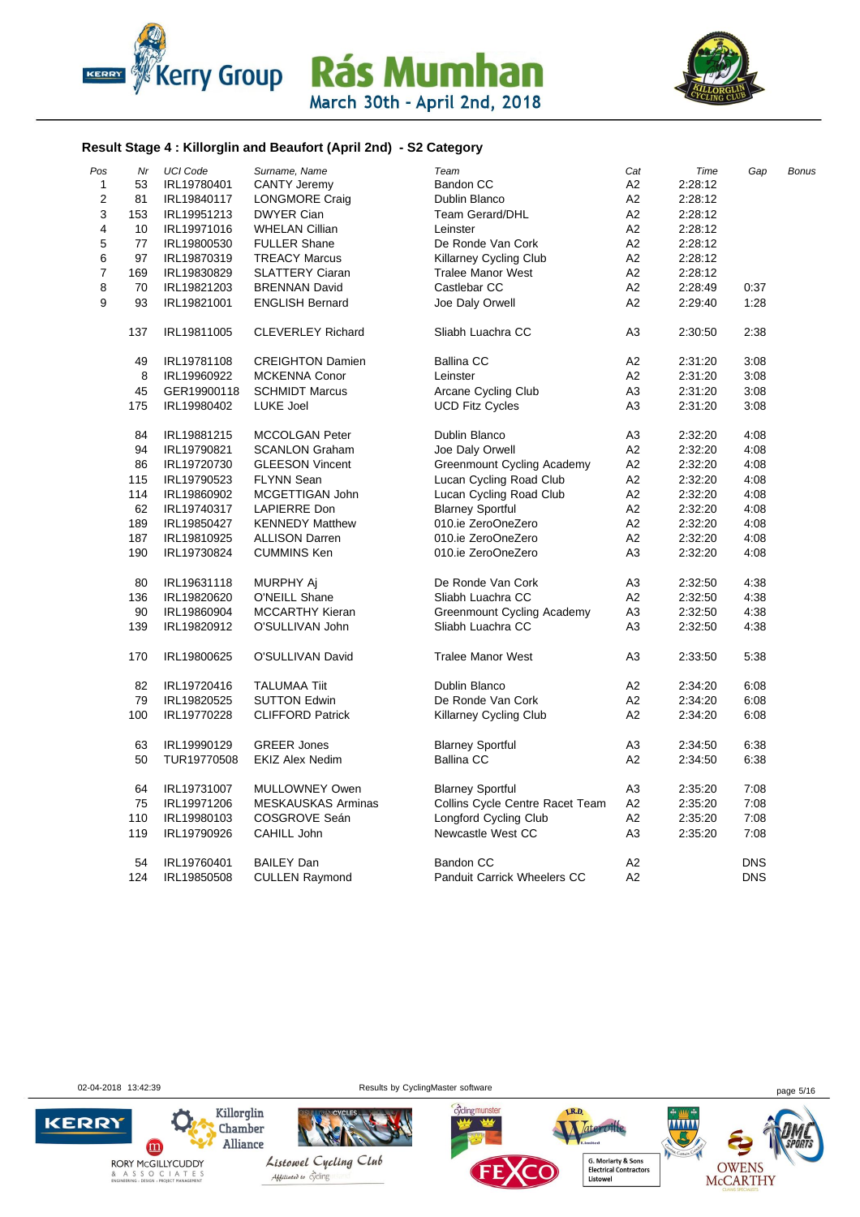



#### **Result Stage 4 : Killorglin and Beaufort (April 2nd) - S2 Category**

| Pos          | Nr  | <b>UCI Code</b> | Surname, Name             | Team                               | Cat            | Time    | Gap        | <b>Bonus</b> |
|--------------|-----|-----------------|---------------------------|------------------------------------|----------------|---------|------------|--------------|
| $\mathbf{1}$ | 53  | IRL19780401     | <b>CANTY Jeremy</b>       | <b>Bandon CC</b>                   | A <sub>2</sub> | 2:28:12 |            |              |
| 2            | 81  | IRL19840117     | <b>LONGMORE Craig</b>     | Dublin Blanco                      | A <sub>2</sub> | 2:28:12 |            |              |
| 3            | 153 | IRL19951213     | <b>DWYER Cian</b>         | <b>Team Gerard/DHL</b>             | A <sub>2</sub> | 2:28:12 |            |              |
| 4            | 10  | IRL19971016     | <b>WHELAN Cillian</b>     | Leinster                           | A <sub>2</sub> | 2:28:12 |            |              |
| 5            | 77  | IRL19800530     | <b>FULLER Shane</b>       | De Ronde Van Cork                  | A <sub>2</sub> | 2:28:12 |            |              |
| 6            | 97  | IRL19870319     | <b>TREACY Marcus</b>      | Killarney Cycling Club             | A <sub>2</sub> | 2:28:12 |            |              |
| 7            | 169 | IRL19830829     | <b>SLATTERY Ciaran</b>    | <b>Tralee Manor West</b>           | A2             | 2:28:12 |            |              |
| 8            | 70  | IRL19821203     | <b>BRENNAN David</b>      | Castlebar CC                       | A <sub>2</sub> | 2:28:49 | 0:37       |              |
| 9            | 93  | IRL19821001     | <b>ENGLISH Bernard</b>    | Joe Daly Orwell                    | A <sub>2</sub> | 2:29:40 | 1:28       |              |
|              | 137 | IRL19811005     | <b>CLEVERLEY Richard</b>  | Sliabh Luachra CC                  | A <sub>3</sub> | 2:30:50 | 2:38       |              |
|              | 49  | IRL19781108     | <b>CREIGHTON Damien</b>   | <b>Ballina CC</b>                  | A <sub>2</sub> | 2:31:20 | 3:08       |              |
|              | 8   | IRL19960922     | MCKENNA Conor             | Leinster                           | A <sub>2</sub> | 2:31:20 | 3:08       |              |
|              | 45  | GER19900118     | <b>SCHMIDT Marcus</b>     | Arcane Cycling Club                | A <sub>3</sub> | 2:31:20 | 3:08       |              |
|              | 175 | IRL19980402     | LUKE Joel                 | <b>UCD Fitz Cycles</b>             | A <sub>3</sub> | 2:31:20 | 3:08       |              |
|              | 84  | IRL19881215     | <b>MCCOLGAN Peter</b>     | Dublin Blanco                      | A3             | 2:32:20 | 4:08       |              |
|              | 94  | IRL19790821     | <b>SCANLON Graham</b>     | Joe Daly Orwell                    | A <sub>2</sub> | 2:32:20 | 4:08       |              |
|              | 86  | IRL19720730     | <b>GLEESON Vincent</b>    | Greenmount Cycling Academy         | A <sub>2</sub> | 2:32:20 | 4:08       |              |
|              | 115 | IRL19790523     | <b>FLYNN Sean</b>         | Lucan Cycling Road Club            | A <sub>2</sub> | 2:32:20 | 4:08       |              |
|              | 114 | IRL19860902     | MCGETTIGAN John           | Lucan Cycling Road Club            | A <sub>2</sub> | 2:32:20 | 4:08       |              |
|              | 62  | IRL19740317     | LAPIERRE Don              | <b>Blarney Sportful</b>            | A2             | 2:32:20 | 4:08       |              |
|              | 189 | IRL19850427     | <b>KENNEDY Matthew</b>    | 010.ie ZeroOneZero                 | A <sub>2</sub> | 2:32:20 | 4:08       |              |
|              | 187 | IRL19810925     | <b>ALLISON Darren</b>     | 010.ie ZeroOneZero                 | A <sub>2</sub> | 2:32:20 | 4:08       |              |
|              | 190 | IRL19730824     | <b>CUMMINS Ken</b>        | 010.ie ZeroOneZero                 | A <sub>3</sub> | 2:32:20 | 4:08       |              |
|              | 80  | IRL19631118     | MURPHY Aj                 | De Ronde Van Cork                  | A3             | 2:32:50 | 4:38       |              |
|              | 136 | IRL19820620     | O'NEILL Shane             | Sliabh Luachra CC                  | A2             | 2:32:50 | 4:38       |              |
|              | 90  | IRL19860904     | <b>MCCARTHY Kieran</b>    | Greenmount Cycling Academy         | A3             | 2:32:50 | 4:38       |              |
|              | 139 | IRL19820912     | O'SULLIVAN John           | Sliabh Luachra CC                  | A <sub>3</sub> | 2:32:50 | 4:38       |              |
|              | 170 | IRL19800625     | O'SULLIVAN David          | <b>Tralee Manor West</b>           | A <sub>3</sub> | 2:33:50 | 5:38       |              |
|              | 82  | IRL19720416     | <b>TALUMAA Tiit</b>       | Dublin Blanco                      | A <sub>2</sub> | 2:34:20 | 6:08       |              |
|              | 79  | IRL19820525     | <b>SUTTON Edwin</b>       | De Ronde Van Cork                  | A <sub>2</sub> | 2:34:20 | 6:08       |              |
|              | 100 | IRL19770228     | <b>CLIFFORD Patrick</b>   | Killarney Cycling Club             | A <sub>2</sub> | 2:34:20 | 6:08       |              |
|              | 63  | IRL19990129     | <b>GREER Jones</b>        | <b>Blarney Sportful</b>            | A3             | 2:34:50 | 6:38       |              |
|              | 50  | TUR19770508     | <b>EKIZ Alex Nedim</b>    | <b>Ballina CC</b>                  | A2             | 2:34:50 | 6:38       |              |
|              | 64  | IRL19731007     | MULLOWNEY Owen            | <b>Blarney Sportful</b>            | A <sub>3</sub> | 2:35:20 | 7:08       |              |
|              | 75  | IRL19971206     | <b>MESKAUSKAS Arminas</b> | Collins Cycle Centre Racet Team    | A <sub>2</sub> | 2:35:20 | 7:08       |              |
|              | 110 | IRL19980103     | COSGROVE Seán             | <b>Longford Cycling Club</b>       | A <sub>2</sub> | 2:35:20 | 7:08       |              |
|              | 119 | IRL19790926     | CAHILL John               | Newcastle West CC                  | A <sub>3</sub> | 2:35:20 | 7:08       |              |
|              | 54  | IRL19760401     | <b>BAILEY Dan</b>         | Bandon CC                          | A <sub>2</sub> |         | <b>DNS</b> |              |
|              | 124 | IRL19850508     | <b>CULLEN Raymond</b>     | <b>Panduit Carrick Wheelers CC</b> | A2             |         | <b>DNS</b> |              |

& A S S O C I A T E S<br>ENGINEERING - DESIGN - PROJECT MANAGEMENT

**KERRY** 

02-04-2018 13:42:39 **Page 5/16** Results by CyclingMaster software **page 5/16** page 5/16





Listowel Cycling Club Abbiliated to cycling



Tateroille, .... **G. Moriarty & Sons<br>Electrical Contractors<br>Listowel** 

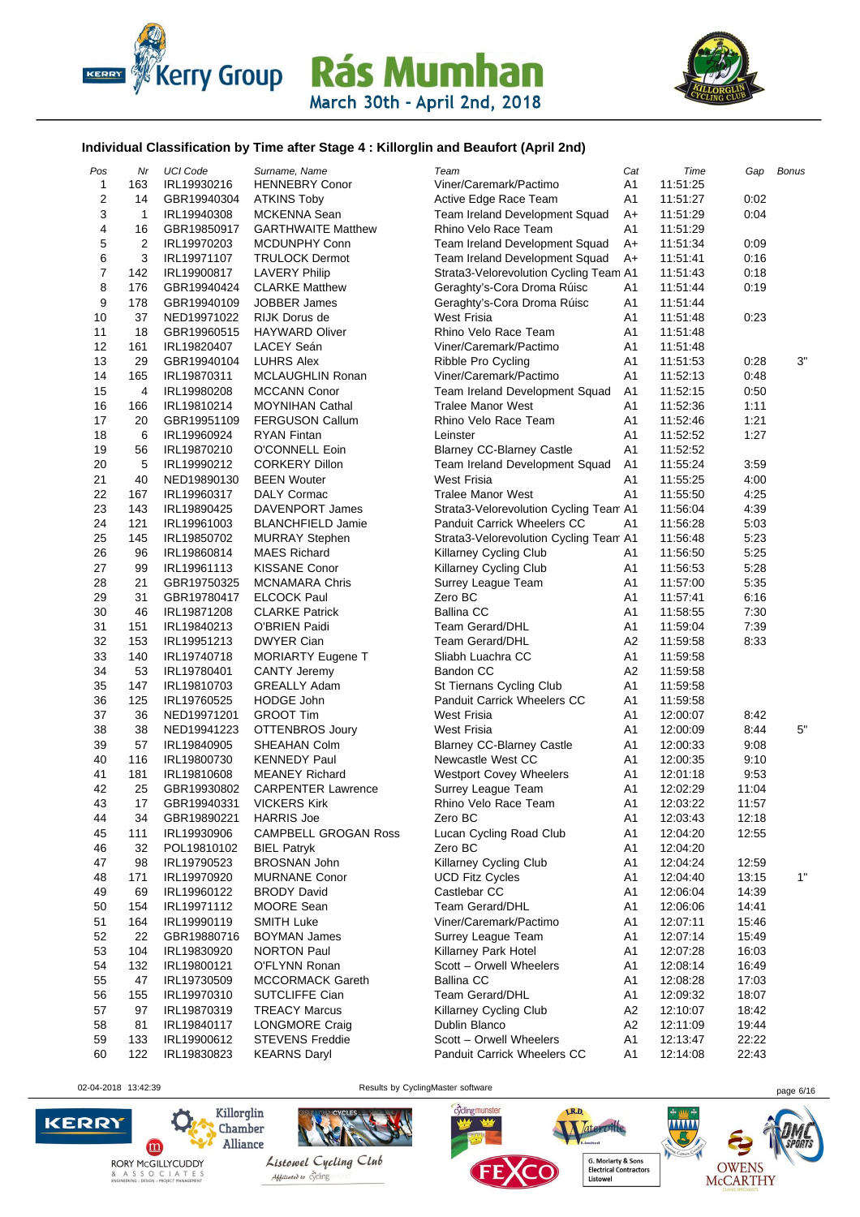



#### **Individual Classification by Time after Stage 4 : Killorglin and Beaufort (April 2nd)**

| Pos            | Nr             | <b>UCI Code</b> | Surname, Name               | Team                                   | Cat            | Time                 | Gap   | <b>Bonus</b> |
|----------------|----------------|-----------------|-----------------------------|----------------------------------------|----------------|----------------------|-------|--------------|
| $\mathbf{1}$   | 163            | IRL19930216     | <b>HENNEBRY Conor</b>       | Viner/Caremark/Pactimo                 | A1             | 11:51:25             |       |              |
| 2              | 14             | GBR19940304     | <b>ATKINS Toby</b>          | Active Edge Race Team                  | A1             | 11:51:27             | 0:02  |              |
| 3              | 1              | IRL19940308     | MCKENNA Sean                | Team Ireland Development Squad         | $A+$           | 11:51:29             | 0:04  |              |
| 4              | 16             | GBR19850917     | <b>GARTHWAITE Matthew</b>   | Rhino Velo Race Team                   | A1             | 11:51:29             |       |              |
| 5              | $\overline{2}$ | IRL19970203     | <b>MCDUNPHY Conn</b>        | Team Ireland Development Squad         | $A+$           | 11:51:34             | 0:09  |              |
| 6              | 3              | IRL19971107     | <b>TRULOCK Dermot</b>       | Team Ireland Development Squad         | A+             | 11:51:41             | 0:16  |              |
| $\overline{7}$ | 142            | IRL19900817     | <b>LAVERY Philip</b>        | Strata3-Velorevolution Cycling Team A1 |                | 11:51:43             | 0:18  |              |
| 8              | 176            | GBR19940424     | <b>CLARKE Matthew</b>       | Geraghty's-Cora Droma Rúisc            | A1             | 11:51:44             | 0:19  |              |
| 9              | 178            | GBR19940109     | <b>JOBBER James</b>         | Geraghty's-Cora Droma Rúisc            | A1             | 11:51:44             |       |              |
| 10             | 37             | NED19971022     | RIJK Dorus de               | <b>West Frisia</b>                     | A1             | 11:51:48             | 0:23  |              |
| 11             | 18             | GBR19960515     | <b>HAYWARD Oliver</b>       | Rhino Velo Race Team                   | A1             |                      |       |              |
| 12             | 161            |                 | LACEY Seán                  | Viner/Caremark/Pactimo                 | A1             | 11:51:48<br>11:51:48 |       |              |
| 13             |                | IRL19820407     |                             | Ribble Pro Cycling                     |                |                      |       | 3"           |
| 14             | 29             | GBR19940104     | <b>LUHRS Alex</b>           |                                        | A <sub>1</sub> | 11:51:53             | 0:28  |              |
|                | 165            | IRL19870311     | MCLAUGHLIN Ronan            | Viner/Caremark/Pactimo                 | A1             | 11:52:13             | 0:48  |              |
| 15             | 4              | IRL19980208     | <b>MCCANN Conor</b>         | Team Ireland Development Squad         | A <sub>1</sub> | 11:52:15             | 0:50  |              |
| 16             | 166            | IRL19810214     | <b>MOYNIHAN Cathal</b>      | <b>Tralee Manor West</b>               | A <sub>1</sub> | 11:52:36             | 1:11  |              |
| 17             | 20             | GBR19951109     | <b>FERGUSON Callum</b>      | Rhino Velo Race Team                   | A <sub>1</sub> | 11:52:46             | 1:21  |              |
| 18             | 6              | IRL19960924     | <b>RYAN Fintan</b>          | Leinster                               | A1             | 11:52:52             | 1:27  |              |
| 19             | 56             | IRL19870210     | O'CONNELL Eoin              | <b>Blarney CC-Blarney Castle</b>       | A1             | 11:52:52             |       |              |
| 20             | 5              | IRL19990212     | <b>CORKERY Dillon</b>       | Team Ireland Development Squad         | A <sub>1</sub> | 11:55:24             | 3:59  |              |
| 21             | 40             | NED19890130     | <b>BEEN Wouter</b>          | <b>West Frisia</b>                     | A1             | 11:55:25             | 4:00  |              |
| 22             | 167            | IRL19960317     | DALY Cormac                 | <b>Tralee Manor West</b>               | A1             | 11:55:50             | 4:25  |              |
| 23             | 143            | IRL19890425     | DAVENPORT James             | Strata3-Velorevolution Cycling Team A1 |                | 11:56:04             | 4:39  |              |
| 24             | 121            | IRL19961003     | <b>BLANCHFIELD Jamie</b>    | <b>Panduit Carrick Wheelers CC</b>     | A1             | 11:56:28             | 5:03  |              |
| 25             | 145            | IRL19850702     | <b>MURRAY Stephen</b>       | Strata3-Velorevolution Cycling Team A1 |                | 11:56:48             | 5:23  |              |
| 26             | 96             | IRL19860814     | <b>MAES Richard</b>         | Killarney Cycling Club                 | A1             | 11:56:50             | 5:25  |              |
| 27             | 99             | IRL19961113     | <b>KISSANE Conor</b>        | Killarney Cycling Club                 | A1             | 11:56:53             | 5:28  |              |
| 28             | 21             | GBR19750325     | <b>MCNAMARA Chris</b>       | Surrey League Team                     | A1             | 11:57:00             | 5:35  |              |
| 29             | 31             | GBR19780417     | <b>ELCOCK Paul</b>          | Zero BC                                | A1             | 11:57:41             | 6:16  |              |
| 30             | 46             | IRL19871208     | <b>CLARKE Patrick</b>       | <b>Ballina CC</b>                      | A <sub>1</sub> | 11:58:55             | 7:30  |              |
| 31             | 151            | IRL19840213     | O'BRIEN Paidi               | Team Gerard/DHL                        | A1             | 11:59:04             | 7:39  |              |
| 32             | 153            | IRL19951213     | <b>DWYER Cian</b>           | Team Gerard/DHL                        | A2             | 11:59:58             | 8:33  |              |
| 33             | 140            | IRL19740718     | MORIARTY Eugene T           | Sliabh Luachra CC                      | A1             | 11:59:58             |       |              |
| 34             | 53             | IRL19780401     | <b>CANTY Jeremy</b>         | Bandon CC                              | A2             | 11:59:58             |       |              |
| 35             | 147            | IRL19810703     | <b>GREALLY Adam</b>         | St Tiernans Cycling Club               | A1             | 11:59:58             |       |              |
| 36             | 125            | IRL19760525     | <b>HODGE John</b>           | Panduit Carrick Wheelers CC            | A <sub>1</sub> | 11:59:58             |       |              |
| 37             | 36             | NED19971201     | <b>GROOT Tim</b>            | <b>West Frisia</b>                     | A <sub>1</sub> | 12:00:07             | 8:42  |              |
| 38             | 38             | NED19941223     | OTTENBROS Joury             | <b>West Frisia</b>                     | A1             | 12:00:09             | 8:44  | 5"           |
| 39             | 57             | IRL19840905     | SHEAHAN Colm                | <b>Blarney CC-Blarney Castle</b>       | A <sub>1</sub> | 12:00:33             | 9:08  |              |
| 40             | 116            | IRL19800730     | <b>KENNEDY Paul</b>         | Newcastle West CC                      | A1             | 12:00:35             | 9:10  |              |
| 41             | 181            | IRL19810608     | <b>MEANEY Richard</b>       | <b>Westport Covey Wheelers</b>         | A <sub>1</sub> | 12:01:18             | 9:53  |              |
| 42             | 25             | GBR19930802     | <b>CARPENTER Lawrence</b>   | Surrey League Team                     | A1             | 12:02:29             | 11:04 |              |
| 43             | 17             | GBR19940331     | <b>VICKERS Kirk</b>         | Rhino Velo Race Team                   | Α1             | 12:03:22             | 11:57 |              |
| 44             | 34             | GBR19890221     | <b>HARRIS Joe</b>           | Zero BC                                | A <sub>1</sub> | 12:03:43             | 12:18 |              |
| 45             | 111            | IRL19930906     | <b>CAMPBELL GROGAN Ross</b> | Lucan Cycling Road Club                | A1             | 12:04:20             | 12:55 |              |
| 46             | 32             | POL19810102     | <b>BIEL Patryk</b>          | Zero BC                                | A <sub>1</sub> | 12:04:20             |       |              |
| 47             | 98             | IRL19790523     | <b>BROSNAN John</b>         | Killarney Cycling Club                 | Α1             | 12:04:24             | 12:59 |              |
| 48             | 171            | IRL19970920     | <b>MURNANE Conor</b>        | <b>UCD Fitz Cycles</b>                 | A <sub>1</sub> | 12:04:40             | 13:15 | 1"           |
| 49             | 69             | IRL19960122     | <b>BRODY David</b>          | Castlebar CC                           | A <sub>1</sub> | 12:06:04             | 14:39 |              |
| 50             | 154            | IRL19971112     | MOORE Sean                  | Team Gerard/DHL                        | A1             | 12:06:06             | 14:41 |              |
| 51             | 164            | IRL19990119     | <b>SMITH Luke</b>           | Viner/Caremark/Pactimo                 | A1             | 12:07:11             | 15:46 |              |
| 52             | 22             | GBR19880716     | <b>BOYMAN James</b>         | Surrey League Team                     | A <sub>1</sub> | 12:07:14             | 15:49 |              |
| 53             | 104            | IRL19830920     | <b>NORTON Paul</b>          | Killarney Park Hotel                   | A1             | 12:07:28             | 16:03 |              |
| 54             | 132            |                 | O'FLYNN Ronan               | Scott - Orwell Wheelers                | A <sub>1</sub> | 12:08:14             | 16:49 |              |
| 55             | 47             | IRL19800121     |                             | <b>Ballina CC</b>                      | A1             |                      |       |              |
|                |                | IRL19730509     | <b>MCCORMACK Gareth</b>     |                                        |                | 12:08:28             | 17:03 |              |
| 56             | 155            | IRL19970310     | <b>SUTCLIFFE Cian</b>       | Team Gerard/DHL                        | A1             | 12:09:32             | 18:07 |              |
| 57             | 97             | IRL19870319     | <b>TREACY Marcus</b>        | Killarney Cycling Club                 | A <sub>2</sub> | 12:10:07             | 18:42 |              |
| 58             | 81             | IRL19840117     | <b>LONGMORE Craig</b>       | Dublin Blanco                          | A <sub>2</sub> | 12:11:09             | 19:44 |              |
| 59             | 133            | IRL19900612     | <b>STEVENS Freddie</b>      | Scott - Orwell Wheelers                | A1             | 12:13:47             | 22:22 |              |
| 60             | 122            | IRL19830823     | <b>KEARNS Daryl</b>         | <b>Panduit Carrick Wheelers CC</b>     | A1             | 12:14:08             | 22:43 |              |

02-04-2018 13:42:39 Results by CyclingMaster software page 6/16





Listowel Cycling Club Abbiliated to cycling

cyclingmunster



LR.D.

G. Moriarty & Sons<br>Electrical Contractors<br>Listowel

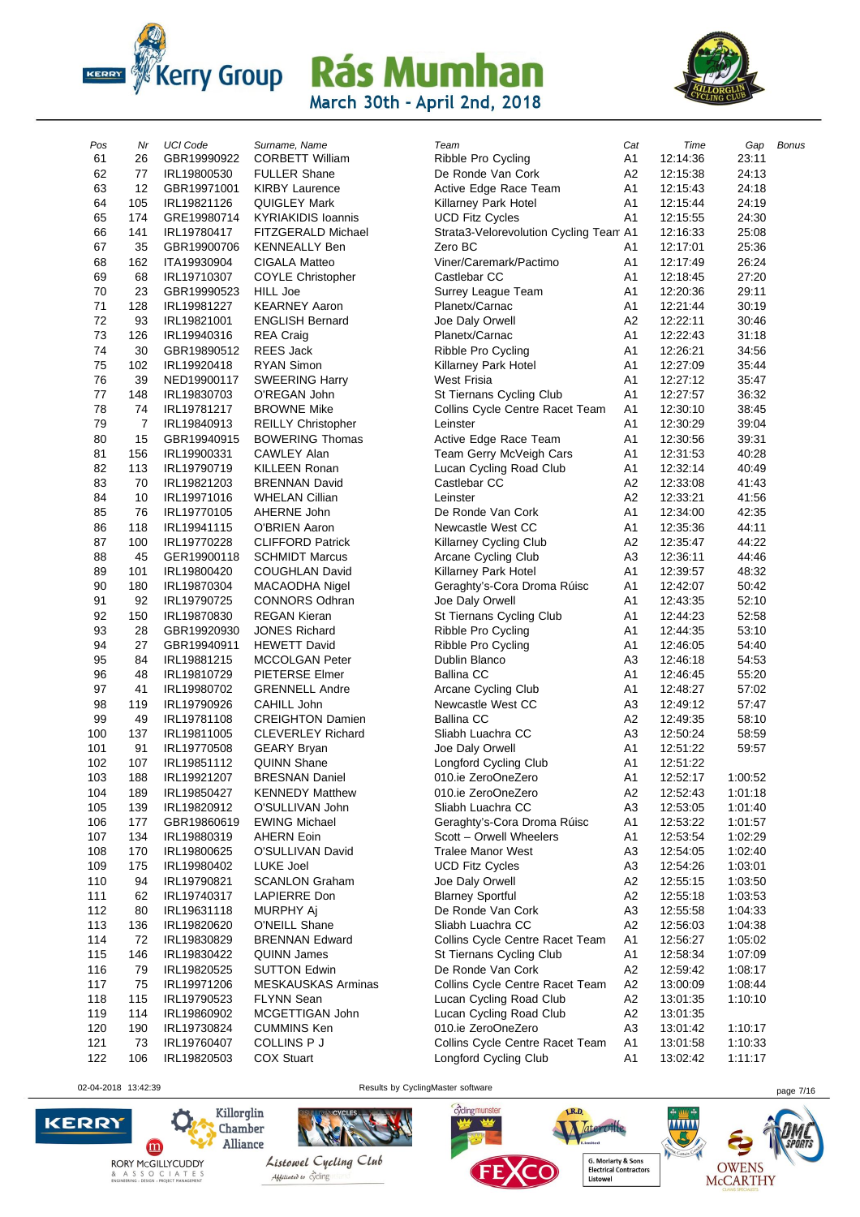



| Pos        | Nr  | <b>UCI Code</b>            | Surname, Name             | Team                                   | Cat                  | Time     | Gap     | <b>Bonus</b> |
|------------|-----|----------------------------|---------------------------|----------------------------------------|----------------------|----------|---------|--------------|
| 61         | 26  | GBR19990922                | <b>CORBETT William</b>    | Ribble Pro Cycling                     | A1                   | 12:14:36 | 23:11   |              |
| 62         | 77  | IRL19800530                | <b>FULLER Shane</b>       | De Ronde Van Cork                      | A2                   | 12:15:38 | 24:13   |              |
| 63         | 12  | GBR19971001                | <b>KIRBY Laurence</b>     | Active Edge Race Team                  | A <sub>1</sub>       | 12:15:43 | 24:18   |              |
| 64         | 105 | IRL19821126                | QUIGLEY Mark              | Killarney Park Hotel                   | A1                   | 12:15:44 | 24:19   |              |
| 65         | 174 | GRE19980714                | <b>KYRIAKIDIS Ioannis</b> | <b>UCD Fitz Cycles</b>                 | A1                   | 12:15:55 | 24:30   |              |
| 66         | 141 | IRL19780417                | FITZGERALD Michael        | Strata3-Velorevolution Cycling Team A1 |                      | 12:16:33 | 25:08   |              |
| 67         | 35  | GBR19900706                | <b>KENNEALLY Ben</b>      | Zero BC                                | A1                   | 12:17:01 | 25:36   |              |
| 68         | 162 | ITA19930904                | CIGALA Matteo             | Viner/Caremark/Pactimo                 | A1                   | 12:17:49 | 26:24   |              |
| 69         | 68  | IRL19710307                | <b>COYLE Christopher</b>  | Castlebar CC                           | A <sub>1</sub>       | 12:18:45 | 27:20   |              |
| 70         | 23  | GBR19990523                | <b>HILL Joe</b>           | Surrey League Team                     | A1                   | 12:20:36 | 29:11   |              |
| 71         | 128 | IRL19981227                | <b>KEARNEY Aaron</b>      | Planetx/Carnac                         | A1                   | 12:21:44 | 30:19   |              |
| 72         | 93  | IRL19821001                | <b>ENGLISH Bernard</b>    | Joe Daly Orwell                        | A <sub>2</sub>       | 12:22:11 | 30:46   |              |
| 73         | 126 | IRL19940316                | <b>REA Craig</b>          | Planetx/Carnac                         | A <sub>1</sub>       | 12:22:43 | 31:18   |              |
| 74         | 30  | GBR19890512                | REES Jack                 | Ribble Pro Cycling                     | A1                   | 12:26:21 | 34:56   |              |
| 75         | 102 | IRL19920418                | <b>RYAN Simon</b>         | Killarney Park Hotel                   | A <sub>1</sub>       | 12:27:09 | 35:44   |              |
| 76         | 39  | NED19900117                | <b>SWEERING Harry</b>     | West Frisia                            | A1                   | 12:27:12 | 35:47   |              |
| 77         | 148 | IRL19830703                | O'REGAN John              | St Tiernans Cycling Club               | A <sub>1</sub>       | 12:27:57 | 36:32   |              |
| 78         | 74  | IRL19781217                | <b>BROWNE Mike</b>        | Collins Cycle Centre Racet Team        | A <sub>1</sub>       | 12:30:10 | 38:45   |              |
| 79         | 7   | IRL19840913                | <b>REILLY Christopher</b> | Leinster                               | A <sub>1</sub>       | 12:30:29 | 39:04   |              |
| 80         | 15  | GBR19940915                | <b>BOWERING Thomas</b>    | Active Edge Race Team                  | A1                   | 12:30:56 | 39:31   |              |
| 81         | 156 | IRL19900331                | <b>CAWLEY Alan</b>        | Team Gerry McVeigh Cars                | A1                   | 12:31:53 | 40:28   |              |
| 82         | 113 | IRL19790719                | <b>KILLEEN Ronan</b>      | Lucan Cycling Road Club                | A <sub>1</sub>       | 12:32:14 | 40:49   |              |
| 83         | 70  | IRL19821203                | <b>BRENNAN David</b>      | Castlebar CC                           | A <sub>2</sub>       | 12:33:08 | 41:43   |              |
| 84         | 10  | IRL19971016                | <b>WHELAN Cillian</b>     | Leinster                               | A2                   | 12:33:21 | 41:56   |              |
| 85         | 76  | IRL19770105                | AHERNE John               | De Ronde Van Cork                      | A1                   | 12:34:00 | 42:35   |              |
| 86         | 118 | IRL19941115                | O'BRIEN Aaron             | Newcastle West CC                      | A1                   | 12:35:36 | 44:11   |              |
| 87         | 100 | IRL19770228                | <b>CLIFFORD Patrick</b>   | Killarney Cycling Club                 | A2                   | 12:35:47 | 44:22   |              |
| 88         | 45  | GER19900118                | <b>SCHMIDT Marcus</b>     | Arcane Cycling Club                    | A <sub>3</sub>       | 12:36:11 | 44:46   |              |
| 89         | 101 | IRL19800420                | COUGHLAN David            | Killarney Park Hotel                   | A1                   | 12:39:57 | 48:32   |              |
| 90         | 180 | IRL19870304                | MACAODHA Nigel            | Geraghty's-Cora Droma Rúisc            | A <sub>1</sub>       | 12:42:07 | 50:42   |              |
| 91         | 92  | IRL19790725                | <b>CONNORS Odhran</b>     | Joe Daly Orwell                        | A1                   | 12:43:35 | 52:10   |              |
| 92         | 150 | IRL19870830                | <b>REGAN Kieran</b>       | St Tiernans Cycling Club               | A <sub>1</sub>       | 12:44:23 | 52:58   |              |
| 93         | 28  | GBR19920930                | <b>JONES Richard</b>      | Ribble Pro Cycling                     | A <sub>1</sub>       | 12:44:35 | 53:10   |              |
| 94         | 27  | GBR19940911                | <b>HEWETT David</b>       | Ribble Pro Cycling                     | A1                   | 12:46:05 | 54:40   |              |
| 95         | 84  | IRL19881215                | <b>MCCOLGAN Peter</b>     | Dublin Blanco                          | A <sub>3</sub>       | 12:46:18 | 54:53   |              |
| 96         | 48  | IRL19810729                | PIETERSE Elmer            | Ballina CC                             | A1                   | 12:46:45 | 55:20   |              |
| 97         | 41  | IRL19980702                | <b>GRENNELL Andre</b>     | Arcane Cycling Club                    | A1                   | 12:48:27 | 57:02   |              |
| 98         | 119 | IRL19790926                | CAHILL John               | Newcastle West CC                      | A <sub>3</sub>       | 12:49:12 | 57:47   |              |
| 99         | 49  | IRL19781108                | <b>CREIGHTON Damien</b>   | <b>Ballina CC</b>                      | A <sub>2</sub>       | 12:49:35 | 58:10   |              |
| 100        | 137 | IRL19811005                | <b>CLEVERLEY Richard</b>  | Sliabh Luachra CC                      | A <sub>3</sub>       | 12:50:24 | 58:59   |              |
| 101        | 91  | IRL19770508                | <b>GEARY Bryan</b>        | Joe Daly Orwell                        | A1                   | 12:51:22 | 59:57   |              |
| 102        | 107 | IRL19851112                | <b>QUINN Shane</b>        | Longford Cycling Club                  | A <sub>1</sub>       | 12:51:22 |         |              |
| 103        | 188 | IRL19921207                | <b>BRESNAN Daniel</b>     | 010.ie ZeroOneZero                     | A1                   | 12:52:17 | 1:00:52 |              |
| 104        | 189 | IRL19850427                | <b>KENNEDY Matthew</b>    | 010.ie ZeroOneZero                     | A <sub>2</sub>       | 12:52:43 | 1:01:18 |              |
| 105        | 139 | IRL19820912                | O'SULLIVAN John           | Sliabh Luachra CC                      | A <sub>3</sub>       | 12:53:05 | 1:01:40 |              |
| 106        | 177 | GBR19860619                | <b>EWING Michael</b>      | Geraghty's-Cora Droma Rúisc            | A1                   | 12:53:22 | 1:01:57 |              |
| 107        | 134 | IRL19880319                | <b>AHERN Eoin</b>         | Scott - Orwell Wheelers                | A <sub>1</sub>       | 12:53:54 | 1:02:29 |              |
| 108        | 170 | IRL19800625                | O'SULLIVAN David          | <b>Tralee Manor West</b>               | A <sub>3</sub>       | 12:54:05 | 1:02:40 |              |
| 109        | 175 | IRL19980402                | LUKE Joel                 | <b>UCD Fitz Cycles</b>                 | A3                   | 12:54:26 | 1:03:01 |              |
| 110        | 94  | IRL19790821                | <b>SCANLON Graham</b>     | Joe Daly Orwell                        | A <sub>2</sub>       | 12:55:15 | 1:03:50 |              |
| 111        | 62  | IRL19740317                | <b>LAPIERRE Don</b>       | <b>Blarney Sportful</b>                | A <sub>2</sub>       | 12:55:18 | 1:03:53 |              |
| 112        | 80  | IRL19631118                | MURPHY Aj                 | De Ronde Van Cork                      | A <sub>3</sub>       | 12:55:58 | 1:04:33 |              |
| 113        | 136 | IRL19820620                | O'NEILL Shane             | Sliabh Luachra CC                      | A <sub>2</sub>       | 12:56:03 | 1:04:38 |              |
| 114        | 72  | IRL19830829                | <b>BRENNAN Edward</b>     | Collins Cycle Centre Racet Team        | A <sub>1</sub>       | 12:56:27 | 1:05:02 |              |
|            | 146 |                            | <b>QUINN James</b>        | St Tiernans Cycling Club               |                      | 12:58:34 | 1:07:09 |              |
| 115<br>116 | 79  | IRL19830422<br>IRL19820525 | <b>SUTTON Edwin</b>       | De Ronde Van Cork                      | A <sub>1</sub><br>A2 | 12:59:42 | 1:08:17 |              |
| 117        | 75  | IRL19971206                | MESKAUSKAS Arminas        | Collins Cycle Centre Racet Team        | A <sub>2</sub>       | 13:00:09 | 1:08:44 |              |
| 118        | 115 | IRL19790523                | <b>FLYNN Sean</b>         | Lucan Cycling Road Club                | A <sub>2</sub>       | 13:01:35 | 1:10:10 |              |
|            |     |                            |                           |                                        |                      |          |         |              |
| 119        | 114 | IRL19860902                | MCGETTIGAN John           | Lucan Cycling Road Club                | A <sub>2</sub>       | 13:01:35 |         |              |
| 120        | 190 | IRL19730824                | <b>CUMMINS Ken</b>        | 010.ie ZeroOneZero                     | A <sub>3</sub>       | 13:01:42 | 1:10:17 |              |
| 121        | 73  | IRL19760407                | COLLINS P J               | Collins Cycle Centre Racet Team        | A <sub>1</sub>       | 13:01:58 | 1:10:33 |              |
| 122        | 106 | IRL19820503                | <b>COX Stuart</b>         | Longford Cycling Club                  | A <sub>1</sub>       | 13:02:42 | 1:11:17 |              |

02-04-2018 13:42:39 **Page 7/16** Results by CyclingMaster software **page 7/16** page 7/16

cyclingmunster

LR.D.

.<br>imited





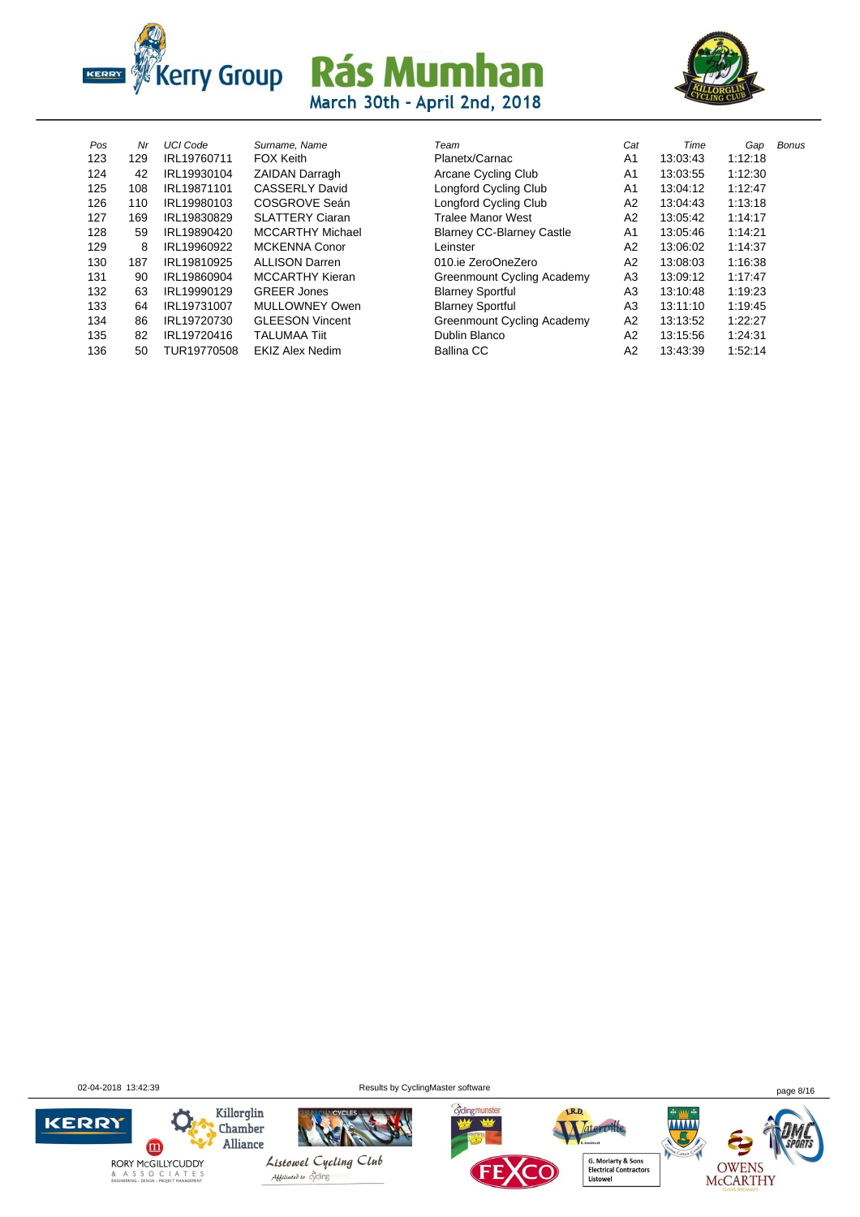



| Pos | Nr  | <b>UCI Code</b> | Surname, Nam        |
|-----|-----|-----------------|---------------------|
| 123 | 129 | IRL19760711     | <b>FOX Keith</b>    |
| 124 | 42  | IRL19930104     | <b>ZAIDAN Darr</b>  |
| 125 | 108 | IRL19871101     | CASSERLY I          |
| 126 | 110 | IRL19980103     | COSGROVE            |
| 127 | 169 | IRL19830829     | SLATTERY (          |
| 128 | 59  | IRL19890420     | MCCARTHY            |
| 129 | 8   | IRL19960922     | MCKENNA C           |
| 130 | 187 | IRL19810925     | <b>ALLISON Da</b>   |
| 131 | 90  | IRL19860904     | MCCARTHY            |
| 132 | 63  | IRL19990129     | <b>GREER Jone</b>   |
| 133 | 64  | IRL19731007     | MULLOWNE            |
| 134 | 86  | IRL19720730     | <b>GLEESON V</b>    |
| 135 | 82  | IRL19720416     | <b>TALUMAA Ti</b>   |
| 136 | 50  | TUR19770508     | <b>EKIZ Alex Ne</b> |
|     |     |                 |                     |

| Pos | Nr  | <b>UCI Code</b> | Surname, Name           | Team                             | Cat            | Time     | Gap     | Bonus |
|-----|-----|-----------------|-------------------------|----------------------------------|----------------|----------|---------|-------|
| 123 | 129 | IRL19760711     | <b>FOX Keith</b>        | Planetx/Carnac                   | A <sub>1</sub> | 13:03:43 | 1:12:18 |       |
| 124 | 42  | IRL19930104     | <b>ZAIDAN Darragh</b>   | Arcane Cycling Club              | A <sub>1</sub> | 13:03:55 | 1:12:30 |       |
| 125 | 108 | IRL19871101     | <b>CASSERLY David</b>   | Longford Cycling Club            | A <sub>1</sub> | 13:04:12 | 1:12:47 |       |
| 126 | 110 | IRL19980103     | COSGROVE Seán           | Longford Cycling Club            | A <sub>2</sub> | 13:04:43 | 1:13:18 |       |
| 127 | 169 | IRL19830829     | <b>SLATTERY Ciaran</b>  | <b>Tralee Manor West</b>         | A2             | 13:05:42 | 1:14:17 |       |
| 128 | 59  | IRL19890420     | <b>MCCARTHY Michael</b> | <b>Blarney CC-Blarney Castle</b> | A <sub>1</sub> | 13:05:46 | 1:14:21 |       |
| 129 | 8   | IRL19960922     | <b>MCKENNA Conor</b>    | Leinster                         | A2             | 13:06:02 | 1:14:37 |       |
| 130 | 187 | IRL19810925     | <b>ALLISON Darren</b>   | 010.ie ZeroOneZero               | A <sub>2</sub> | 13:08:03 | 1:16:38 |       |
| 131 | 90  | IRL19860904     | <b>MCCARTHY Kieran</b>  | Greenmount Cycling Academy       | A <sub>3</sub> | 13:09:12 | 1:17:47 |       |
| 132 | 63  | IRL19990129     | <b>GREER Jones</b>      | <b>Blarney Sportful</b>          | A <sub>3</sub> | 13:10:48 | 1:19:23 |       |
| 133 | 64  | IRL19731007     | MULLOWNEY Owen          | <b>Blarney Sportful</b>          | A <sub>3</sub> | 13:11:10 | 1:19:45 |       |
| 134 | 86  | IRL19720730     | <b>GLEESON Vincent</b>  | Greenmount Cycling Academy       | A <sub>2</sub> | 13:13:52 | 1:22:27 |       |
| 135 | 82  | IRL19720416     | <b>TALUMAA Tiit</b>     | Dublin Blanco                    | A <sub>2</sub> | 13:15:56 | 1:24:31 |       |
| 136 | 50  | TUR19770508     | <b>EKIZ Alex Nedim</b>  | <b>Ballina CC</b>                | A2             | 13:43:39 | 1:52:14 |       |
|     |     |                 |                         |                                  |                |          |         |       |

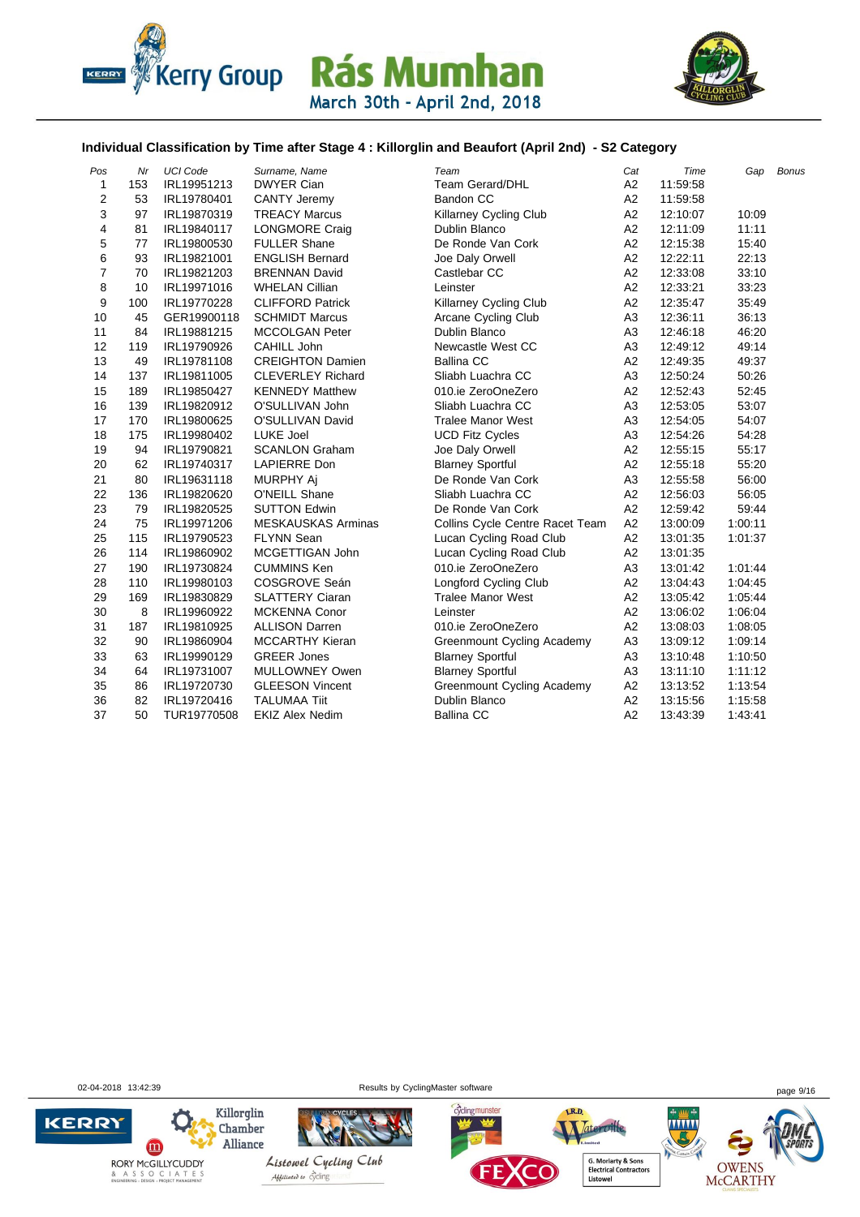



#### **Individual Classification by Time after Stage 4 : Killorglin and Beaufort (April 2nd) - S2 Category**

| Pos    | Nr       | <b>UCI Code</b>            | Surname, Name                               | Team                                | Cat                  | Time                 | Gap     | <b>Bonus</b> |
|--------|----------|----------------------------|---------------------------------------------|-------------------------------------|----------------------|----------------------|---------|--------------|
| 1      | 153      | IRL19951213                | <b>DWYER Cian</b>                           | <b>Team Gerard/DHL</b><br>Bandon CC | A <sub>2</sub>       | 11:59:58             |         |              |
| 2<br>3 | 53<br>97 | IRL19780401<br>IRL19870319 | <b>CANTY Jeremy</b><br><b>TREACY Marcus</b> |                                     | A <sub>2</sub><br>A2 | 11:59:58<br>12:10:07 | 10:09   |              |
| 4      | 81       |                            |                                             | Killarney Cycling Club              | A2                   |                      | 11:11   |              |
|        |          | IRL19840117                | <b>LONGMORE Craig</b>                       | Dublin Blanco                       |                      | 12:11:09             |         |              |
| 5      | 77       | IRL19800530                | <b>FULLER Shane</b>                         | De Ronde Van Cork                   | A2                   | 12:15:38             | 15:40   |              |
| 6      | 93       | IRL19821001                | <b>ENGLISH Bernard</b>                      | Joe Daly Orwell                     | A <sub>2</sub>       | 12:22:11             | 22:13   |              |
| 7      | 70       | IRL19821203                | <b>BRENNAN David</b>                        | Castlebar CC                        | A2                   | 12:33:08             | 33:10   |              |
| 8      | 10       | IRL19971016                | <b>WHELAN Cillian</b>                       | Leinster                            | A2                   | 12:33:21             | 33:23   |              |
| 9      | 100      | IRL19770228                | <b>CLIFFORD Patrick</b>                     | <b>Killarney Cycling Club</b>       | A2                   | 12:35:47             | 35:49   |              |
| 10     | 45       | GER19900118                | <b>SCHMIDT Marcus</b>                       | Arcane Cycling Club                 | A <sub>3</sub>       | 12:36:11             | 36:13   |              |
| 11     | 84       | IRL19881215                | <b>MCCOLGAN Peter</b>                       | Dublin Blanco                       | A <sub>3</sub>       | 12:46:18             | 46:20   |              |
| 12     | 119      | IRL19790926                | CAHILL John                                 | Newcastle West CC                   | A3                   | 12:49:12             | 49:14   |              |
| 13     | 49       | IRL19781108                | <b>CREIGHTON Damien</b>                     | <b>Ballina CC</b>                   | A2                   | 12:49:35             | 49:37   |              |
| 14     | 137      | IRL19811005                | <b>CLEVERLEY Richard</b>                    | Sliabh Luachra CC                   | A <sub>3</sub>       | 12:50:24             | 50:26   |              |
| 15     | 189      | IRL19850427                | <b>KENNEDY Matthew</b>                      | 010.ie ZeroOneZero                  | A <sub>2</sub>       | 12:52:43             | 52:45   |              |
| 16     | 139      | IRL19820912                | O'SULLIVAN John                             | Sliabh Luachra CC                   | A <sub>3</sub>       | 12:53:05             | 53:07   |              |
| 17     | 170      | IRL19800625                | O'SULLIVAN David                            | <b>Tralee Manor West</b>            | A <sub>3</sub>       | 12:54:05             | 54:07   |              |
| 18     | 175      | IRL19980402                | <b>LUKE Joel</b>                            | <b>UCD Fitz Cycles</b>              | A3                   | 12:54:26             | 54:28   |              |
| 19     | 94       | IRL19790821                | <b>SCANLON Graham</b>                       | Joe Daly Orwell                     | A <sub>2</sub>       | 12:55:15             | 55:17   |              |
| 20     | 62       | IRL19740317                | <b>LAPIERRE Don</b>                         | <b>Blarney Sportful</b>             | A <sub>2</sub>       | 12:55:18             | 55:20   |              |
| 21     | 80       | IRL19631118                | <b>MURPHY Ai</b>                            | De Ronde Van Cork                   | A <sub>3</sub>       | 12:55:58             | 56:00   |              |
| 22     | 136      | IRL19820620                | O'NEILL Shane                               | Sliabh Luachra CC                   | A2                   | 12:56:03             | 56:05   |              |
| 23     | 79       | IRL19820525                | <b>SUTTON Edwin</b>                         | De Ronde Van Cork                   | A2                   | 12:59:42             | 59:44   |              |
| 24     | 75       | IRL19971206                | <b>MESKAUSKAS Arminas</b>                   | Collins Cycle Centre Racet Team     | A2                   | 13:00:09             | 1:00:11 |              |
| 25     | 115      | IRL19790523                | <b>FLYNN Sean</b>                           | Lucan Cycling Road Club             | A <sub>2</sub>       | 13:01:35             | 1.01.37 |              |
| 26     | 114      | IRL19860902                | MCGETTIGAN John                             | Lucan Cycling Road Club             | A2                   | 13:01:35             |         |              |
| 27     | 190      | IRL19730824                | <b>CUMMINS Ken</b>                          | 010.ie ZeroOneZero                  | A <sub>3</sub>       | 13:01:42             | 1:01:44 |              |
| 28     | 110      | IRL19980103                | COSGROVE Seán                               | <b>Longford Cycling Club</b>        | A <sub>2</sub>       | 13:04:43             | 1.04.45 |              |
| 29     | 169      | IRL19830829                | <b>SLATTERY Ciaran</b>                      | <b>Tralee Manor West</b>            | A <sub>2</sub>       | 13:05:42             | 1.05.44 |              |
| 30     | 8        | IRL19960922                | <b>MCKENNA Conor</b>                        | Leinster                            | A <sub>2</sub>       | 13:06:02             | 1.06.04 |              |
| 31     | 187      | IRL19810925                | <b>ALLISON Darren</b>                       | 010.ie ZeroOneZero                  | A2                   | 13:08:03             | 1:08:05 |              |
| 32     | 90       | IRL19860904                | <b>MCCARTHY Kieran</b>                      | <b>Greenmount Cycling Academy</b>   | A <sub>3</sub>       | 13:09:12             | 1:09:14 |              |
| 33     | 63       | IRL19990129                | <b>GREER Jones</b>                          | <b>Blarney Sportful</b>             | A <sub>3</sub>       | 13:10:48             | 1:10:50 |              |
| 34     | 64       | IRL19731007                | MULLOWNEY Owen                              | <b>Blarney Sportful</b>             | A <sub>3</sub>       | 13:11:10             | 1:11:12 |              |
| 35     | 86       | IRL19720730                | <b>GLEESON Vincent</b>                      | <b>Greenmount Cycling Academy</b>   | A2                   | 13:13:52             | 1:13:54 |              |
| 36     | 82       | IRL19720416                | <b>TALUMAA Tiit</b>                         | Dublin Blanco                       | A2                   | 13:15:56             | 1:15:58 |              |
| 37     | 50       | TUR19770508                | <b>EKIZ Alex Nedim</b>                      | <b>Ballina CC</b>                   | A2                   | 13:43:39             | 1.43.41 |              |
|        |          |                            |                                             |                                     |                      |                      |         |              |

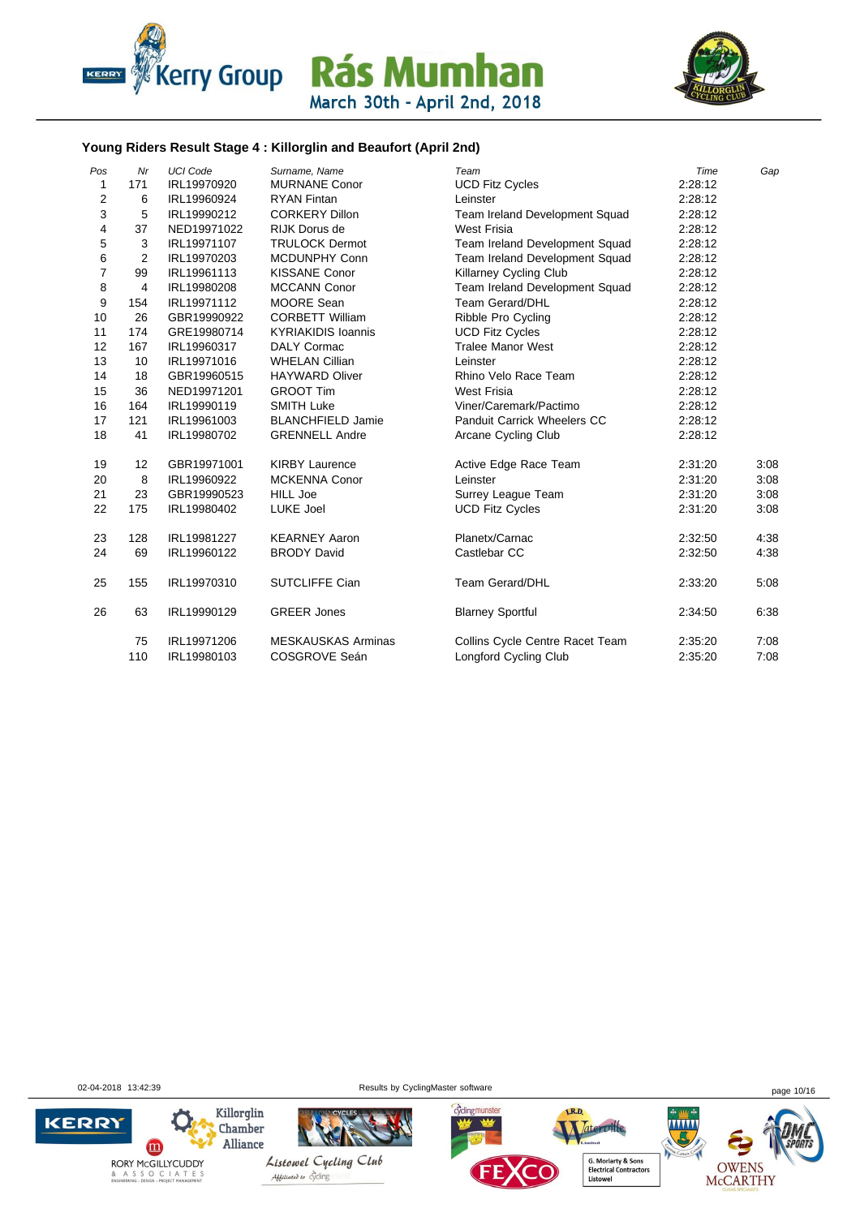



#### **Young Riders Result Stage 4 : Killorglin and Beaufort (April 2nd)**

| Pos            | Mr             | <b>UCI Code</b> | Surname, Name             | Team                               | Time    | Gap  |
|----------------|----------------|-----------------|---------------------------|------------------------------------|---------|------|
| 1              | 171            | IRL19970920     | <b>MURNANE Conor</b>      | <b>UCD Fitz Cycles</b>             | 2:28:12 |      |
| $\overline{2}$ | 6              | IRL19960924     | <b>RYAN Fintan</b>        | Leinster                           | 2:28:12 |      |
| 3              | 5              | IRL19990212     | <b>CORKERY Dillon</b>     | Team Ireland Development Squad     | 2:28:12 |      |
| 4              | 37             | NED19971022     | <b>RIJK Dorus de</b>      | West Frisia                        | 2:28:12 |      |
| 5              | 3              | IRL19971107     | <b>TRULOCK Dermot</b>     | Team Ireland Development Squad     | 2:28:12 |      |
| 6              | $\overline{2}$ | IRL19970203     | <b>MCDUNPHY Conn</b>      | Team Ireland Development Squad     | 2:28:12 |      |
| $\overline{7}$ | 99             | IRL19961113     | <b>KISSANE Conor</b>      | <b>Killarney Cycling Club</b>      | 2:28:12 |      |
| 8              | 4              | IRL19980208     | <b>MCCANN Conor</b>       | Team Ireland Development Squad     | 2:28:12 |      |
| 9              | 154            | IRL19971112     | <b>MOORE Sean</b>         | <b>Team Gerard/DHL</b>             | 2:28:12 |      |
| 10             | 26             | GBR19990922     | <b>CORBETT William</b>    | Ribble Pro Cycling                 | 2:28:12 |      |
| 11             | 174            | GRE19980714     | <b>KYRIAKIDIS Ioannis</b> | <b>UCD Fitz Cycles</b>             | 2:28:12 |      |
| 12             | 167            | IRL19960317     | <b>DALY Cormac</b>        | <b>Tralee Manor West</b>           | 2:28:12 |      |
| 13             | 10             | IRL19971016     | <b>WHELAN Cillian</b>     | Leinster                           | 2:28:12 |      |
| 14             | 18             | GBR19960515     | <b>HAYWARD Oliver</b>     | Rhino Velo Race Team               | 2:28:12 |      |
| 15             | 36             | NED19971201     | <b>GROOT Tim</b>          | <b>West Frisia</b>                 | 2:28:12 |      |
| 16             | 164            | IRL19990119     | <b>SMITH Luke</b>         | Viner/Caremark/Pactimo             | 2:28:12 |      |
| 17             | 121            | IRL19961003     | <b>BLANCHFIELD Jamie</b>  | <b>Panduit Carrick Wheelers CC</b> | 2:28:12 |      |
| 18             | 41             | IRL19980702     | <b>GRENNELL Andre</b>     | Arcane Cycling Club                | 2:28:12 |      |
| 19             | 12             | GBR19971001     | <b>KIRBY Laurence</b>     | Active Edge Race Team              | 2:31:20 | 3:08 |
| 20             | 8              | IRL19960922     | <b>MCKENNA Conor</b>      | Leinster                           | 2:31:20 | 3:08 |
| 21             | 23             | GBR19990523     | <b>HILL Joe</b>           | Surrey League Team                 | 2:31:20 | 3:08 |
| 22             | 175            | IRL19980402     | LUKE Joel                 | <b>UCD Fitz Cycles</b>             | 2:31:20 | 3:08 |
| 23             | 128            | IRL19981227     | <b>KEARNEY Aaron</b>      | Planetx/Carnac                     | 2:32:50 | 4:38 |
| 24             | 69             | IRL19960122     | <b>BRODY David</b>        | Castlebar CC                       | 2:32:50 | 4:38 |
| 25             | 155            | IRL19970310     | <b>SUTCLIFFE Cian</b>     | <b>Team Gerard/DHL</b>             | 2:33:20 | 5:08 |
| 26             | 63             | IRL19990129     | <b>GREER Jones</b>        | <b>Blarney Sportful</b>            | 2:34:50 | 6:38 |
|                | 75             | IRL19971206     | <b>MESKAUSKAS Arminas</b> | Collins Cycle Centre Racet Team    | 2:35:20 | 7:08 |
|                | 110            | IRL19980103     | COSGROVE Seán             | <b>Longford Cycling Club</b>       | 2:35:20 | 7:08 |

02-04-2018 13:42:39 https://www.floweragelea.com/master/software page 10/16 page 10/16

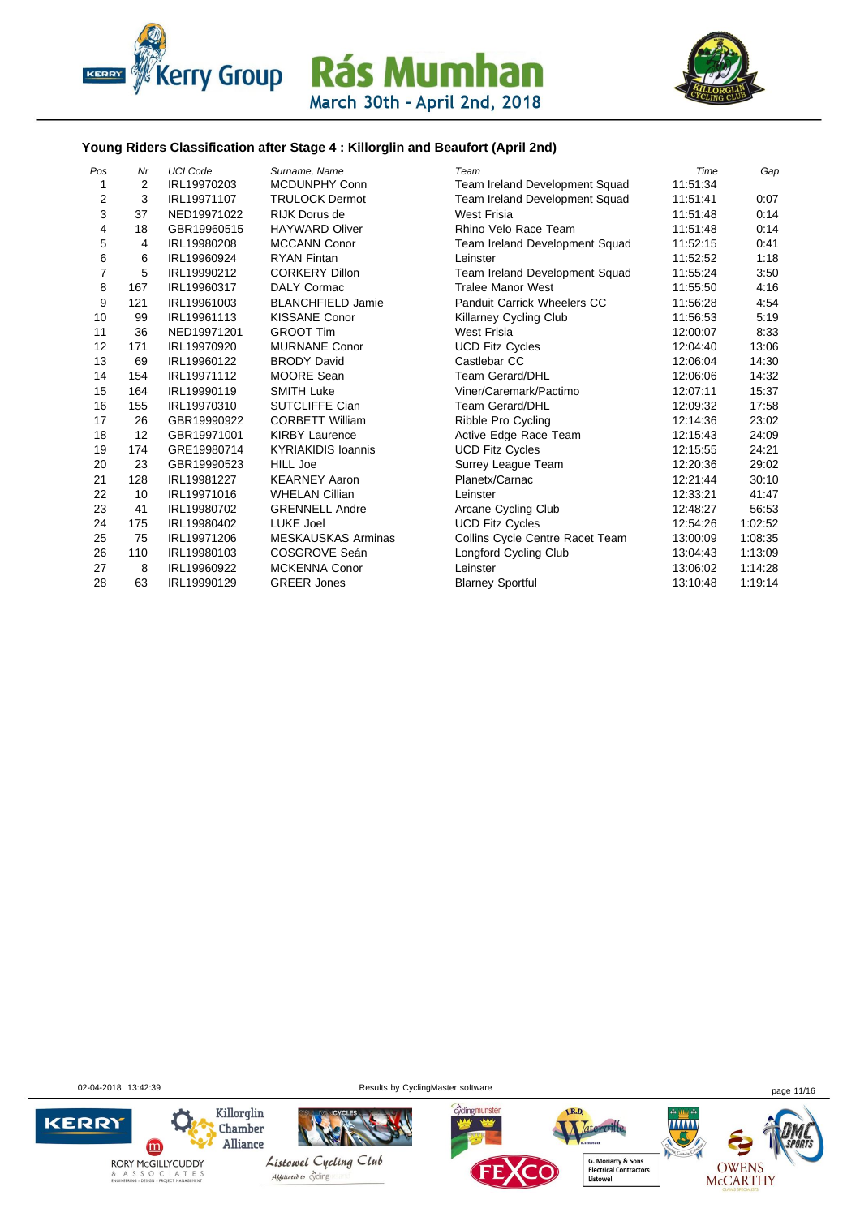



#### **Young Riders Classification after Stage 4 : Killorglin and Beaufort (April 2nd)**

| Pos            | Nr  | <b>UCI Code</b> | Surname, Name             | Team                            | Time     | Gap     |
|----------------|-----|-----------------|---------------------------|---------------------------------|----------|---------|
| 1              | 2   | IRL19970203     | MCDUNPHY Conn             | Team Ireland Development Squad  | 11:51:34 |         |
| 2              | 3   | IRL19971107     | <b>TRULOCK Dermot</b>     | Team Ireland Development Squad  | 11:51:41 | 0:07    |
| 3              | 37  | NED19971022     | <b>RIJK Dorus de</b>      | <b>West Frisia</b>              | 11:51:48 | 0:14    |
| 4              | 18  | GBR19960515     | <b>HAYWARD Oliver</b>     | Rhino Velo Race Team            | 11:51:48 | 0:14    |
| 5              | 4   | IRL19980208     | <b>MCCANN Conor</b>       | Team Ireland Development Squad  | 11:52:15 | 0:41    |
| 6              | 6   | IRL19960924     | <b>RYAN Fintan</b>        | Leinster                        | 11:52:52 | 1:18    |
| $\overline{7}$ | 5   | IRL19990212     | <b>CORKERY Dillon</b>     | Team Ireland Development Squad  | 11:55:24 | 3:50    |
| 8              | 167 | IRL19960317     | <b>DALY Cormac</b>        | <b>Tralee Manor West</b>        | 11:55:50 | 4:16    |
| 9              | 121 | IRL19961003     | <b>BLANCHFIELD Jamie</b>  | Panduit Carrick Wheelers CC     | 11:56:28 | 4:54    |
| 10             | 99  | IRL19961113     | <b>KISSANE Conor</b>      | Killarney Cycling Club          | 11:56:53 | 5:19    |
| 11             | 36  | NED19971201     | <b>GROOT Tim</b>          | West Frisia                     | 12:00:07 | 8:33    |
| 12             | 171 | IRL19970920     | <b>MURNANE Conor</b>      | <b>UCD Fitz Cycles</b>          | 12:04:40 | 13:06   |
| 13             | 69  | IRL19960122     | <b>BRODY David</b>        | Castlebar CC                    | 12:06:04 | 14:30   |
| 14             | 154 | IRL19971112     | MOORE Sean                | <b>Team Gerard/DHL</b>          | 12:06:06 | 14:32   |
| 15             | 164 | IRL19990119     | <b>SMITH Luke</b>         | Viner/Caremark/Pactimo          | 12:07:11 | 15:37   |
| 16             | 155 | IRL19970310     | <b>SUTCLIFFE Cian</b>     | <b>Team Gerard/DHL</b>          | 12:09:32 | 17:58   |
| 17             | 26  | GBR19990922     | <b>CORBETT William</b>    | Ribble Pro Cycling              | 12:14:36 | 23:02   |
| 18             | 12  | GBR19971001     | <b>KIRBY Laurence</b>     | Active Edge Race Team           | 12:15:43 | 24:09   |
| 19             | 174 | GRE19980714     | <b>KYRIAKIDIS Ioannis</b> | <b>UCD Fitz Cycles</b>          | 12:15:55 | 24:21   |
| 20             | 23  | GBR19990523     | <b>HILL Joe</b>           | Surrey League Team              | 12:20:36 | 29:02   |
| 21             | 128 | IRL19981227     | <b>KEARNEY Aaron</b>      | Planetx/Carnac                  | 12:21:44 | 30:10   |
| 22             | 10  | IRL19971016     | <b>WHELAN Cillian</b>     | Leinster                        | 12:33:21 | 41:47   |
| 23             | 41  | IRL19980702     | <b>GRENNELL Andre</b>     | Arcane Cycling Club             | 12:48:27 | 56:53   |
| 24             | 175 | IRL19980402     | LUKE Joel                 | <b>UCD Fitz Cycles</b>          | 12:54:26 | 1:02:52 |
| 25             | 75  | IRL19971206     | <b>MESKAUSKAS Arminas</b> | Collins Cycle Centre Racet Team | 13:00:09 | 1:08:35 |
| 26             | 110 | IRL19980103     | COSGROVE Seán             | Longford Cycling Club           | 13:04:43 | 1:13:09 |
| 27             | 8   | IRL19960922     | <b>MCKENNA Conor</b>      | Leinster                        | 13:06:02 | 1:14:28 |
| 28             | 63  | IRL19990129     | <b>GREER Jones</b>        | <b>Blarney Sportful</b>         | 13:10:48 | 1:19:14 |

02-04-2018 13:42:39 **Page 11/16** Results by CyclingMaster software **page 11/16** page 11/16

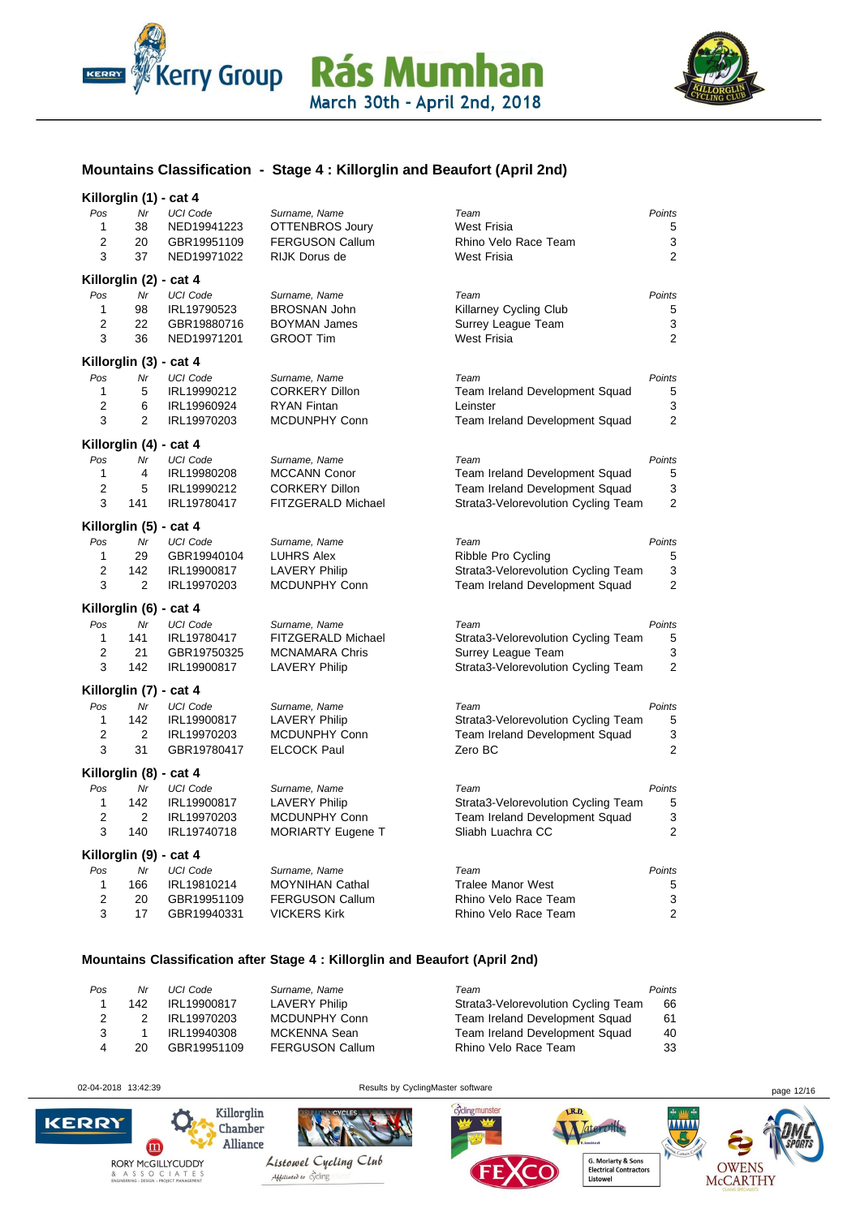



#### **Mountains Classification - Stage 4 : Killorglin and Beaufort (April 2nd)**

| Killorglin (1) - cat 4 |  |  |
|------------------------|--|--|
|                        |  |  |

| o.<br>Pos<br>$\mathbf{1}$<br>2<br>3 | <br>Nr<br>38<br>20<br>37 | <b>UCI Code</b><br>NED19941223<br>GBR19951109<br>NED19971022 | Surname, Name<br>OTTENBROS Joury<br><b>FERGUSON Callum</b><br>RIJK Dorus de | Team<br><b>West Frisia</b><br>Rhino Velo Race Team<br><b>West Frisia</b> | Points<br>5<br>3<br>2 |
|-------------------------------------|--------------------------|--------------------------------------------------------------|-----------------------------------------------------------------------------|--------------------------------------------------------------------------|-----------------------|
|                                     | Killorglin (2) - cat 4   |                                                              |                                                                             |                                                                          |                       |
| Pos                                 | Nr                       | <b>UCI Code</b>                                              | Surname, Name                                                               | Team                                                                     | Points                |
| 1                                   | 98                       | IRL19790523                                                  | <b>BROSNAN John</b>                                                         | <b>Killarney Cycling Club</b>                                            | 5                     |
| $\overline{2}$                      | 22                       | GBR19880716                                                  | <b>BOYMAN James</b>                                                         | Surrey League Team                                                       | 3                     |
| 3                                   | 36                       | NED19971201                                                  | <b>GROOT Tim</b>                                                            | <b>West Frisia</b>                                                       | 2                     |
|                                     | Killorglin (3) - cat 4   |                                                              |                                                                             |                                                                          |                       |
| Pos                                 | Nr                       | <b>UCI Code</b>                                              | Surname, Name                                                               | Team                                                                     | Points                |
| 1                                   | 5                        | IRL19990212                                                  | <b>CORKERY Dillon</b>                                                       | Team Ireland Development Squad                                           | 5                     |
| 2                                   | 6                        | IRL19960924                                                  | <b>RYAN Fintan</b>                                                          | Leinster                                                                 | 3                     |
| 3                                   | 2                        | IRL19970203                                                  | MCDUNPHY Conn                                                               | Team Ireland Development Squad                                           | $\overline{2}$        |
|                                     | Killorglin (4) - cat 4   |                                                              |                                                                             |                                                                          |                       |
| Pos                                 | Nr                       | <b>UCI Code</b>                                              | Surname, Name                                                               | Team                                                                     | Points                |
| 1                                   | 4                        | IRL19980208                                                  | <b>MCCANN Conor</b>                                                         | Team Ireland Development Squad                                           | 5                     |
| $\overline{2}$                      | 5                        | IRL19990212                                                  | <b>CORKERY Dillon</b>                                                       | Team Ireland Development Squad                                           | 3                     |
| 3                                   | 141                      | IRL19780417                                                  | FITZGERALD Michael                                                          | Strata3-Velorevolution Cycling Team                                      | 2                     |
|                                     | Killorglin (5) - cat 4   |                                                              |                                                                             |                                                                          |                       |
| Pos                                 | Nr                       | <b>UCI Code</b>                                              | Surname, Name                                                               | Team                                                                     | Points                |
| 1                                   | 29                       | GBR19940104                                                  | <b>LUHRS Alex</b>                                                           | Ribble Pro Cycling                                                       | 5                     |
| $\overline{2}$                      | 142                      | IRL19900817                                                  | <b>LAVERY Philip</b>                                                        | Strata3-Velorevolution Cycling Team                                      | 3                     |
| 3                                   | $\overline{2}$           | IRL19970203                                                  | MCDUNPHY Conn                                                               | Team Ireland Development Squad                                           | 2                     |
|                                     | Killorglin (6) - cat 4   |                                                              |                                                                             |                                                                          |                       |
| Pos                                 | Nr                       | <b>UCI Code</b>                                              | Surname, Name                                                               | Team                                                                     | Points                |
| $\mathbf{1}$                        | 141                      | IRL19780417                                                  | FITZGERALD Michael                                                          | Strata3-Velorevolution Cycling Team                                      | 5                     |
| $\overline{2}$                      | 21                       | GBR19750325                                                  | <b>MCNAMARA Chris</b>                                                       | Surrey League Team                                                       | 3                     |
| 3                                   | 142                      | IRL19900817                                                  | <b>LAVERY Philip</b>                                                        | Strata3-Velorevolution Cycling Team                                      | $\overline{2}$        |
|                                     | Killorglin (7) - cat 4   |                                                              |                                                                             |                                                                          |                       |
| Pos                                 | Nr                       | <b>UCI Code</b>                                              | Surname, Name                                                               | Team                                                                     | Points                |
| 1                                   | 142                      | IRL19900817                                                  | <b>LAVERY Philip</b>                                                        | Strata3-Velorevolution Cycling Team                                      | 5                     |
| $\overline{2}$                      | $\overline{2}$           | IRL19970203                                                  | MCDUNPHY Conn                                                               | Team Ireland Development Squad                                           | 3                     |
| 3                                   | 31                       | GBR19780417                                                  | <b>ELCOCK Paul</b>                                                          | Zero BC                                                                  | $\overline{2}$        |
|                                     | Killorglin (8) - cat 4   |                                                              |                                                                             |                                                                          |                       |
| Pos                                 | Nr                       | <b>UCI Code</b>                                              | Surname, Name                                                               | Team                                                                     | Points                |
| 1                                   | 142                      | IRL19900817                                                  | <b>LAVERY Philip</b>                                                        | Strata3-Velorevolution Cycling Team                                      | 5                     |
| 2                                   | 2                        | IRL19970203                                                  | MCDUNPHY Conn                                                               | Team Ireland Development Squad                                           | 3                     |
| 3                                   | 140                      | IRL19740718                                                  | <b>MORIARTY Eugene T</b>                                                    | Sliabh Luachra CC                                                        | 2                     |
|                                     | Killorglin (9) - cat 4   |                                                              |                                                                             |                                                                          |                       |
| Pos                                 | Nr                       | <b>UCI Code</b>                                              | Surname, Name                                                               | Team                                                                     | Points                |
| 1                                   | 166                      | IRL19810214                                                  | <b>MOYNIHAN Cathal</b>                                                      | <b>Tralee Manor West</b>                                                 | 5                     |
| $\overline{2}$                      | 20                       | GBR19951109                                                  | <b>FERGUSON Callum</b>                                                      | Rhino Velo Race Team                                                     | 3                     |
| 3                                   | 17                       | GBR19940331                                                  | <b>VICKERS Kirk</b>                                                         | Rhino Velo Race Team                                                     | 2                     |
|                                     |                          |                                                              |                                                                             |                                                                          |                       |

#### **Mountains Classification after Stage 4 : Killorglin and Beaufort (April 2nd)**

| Pos | Nr            | UCI Code    | Surname, Name          | Team                                | Points |
|-----|---------------|-------------|------------------------|-------------------------------------|--------|
|     | 142           | IRL19900817 | LAVERY Philip          | Strata3-Velorevolution Cycling Team | 66     |
|     | $\mathcal{P}$ | IRL19970203 | MCDUNPHY Conn          | Team Ireland Development Squad      | 61     |
|     |               | IRL19940308 | MCKENNA Sean           | Team Ireland Development Squad      | 40     |
| 4   | 20            | GBR19951109 | <b>FERGUSON Callum</b> | Rhino Velo Race Team                | 33     |

02-04-2018 13:42:39 https://www.flowere.com/discoversity/cyclingMaster software page 12/16 page 12/16

cycling munster





LR.D.

G. Moriarty & Sons<br>Electrical Contractors<br>Listowel

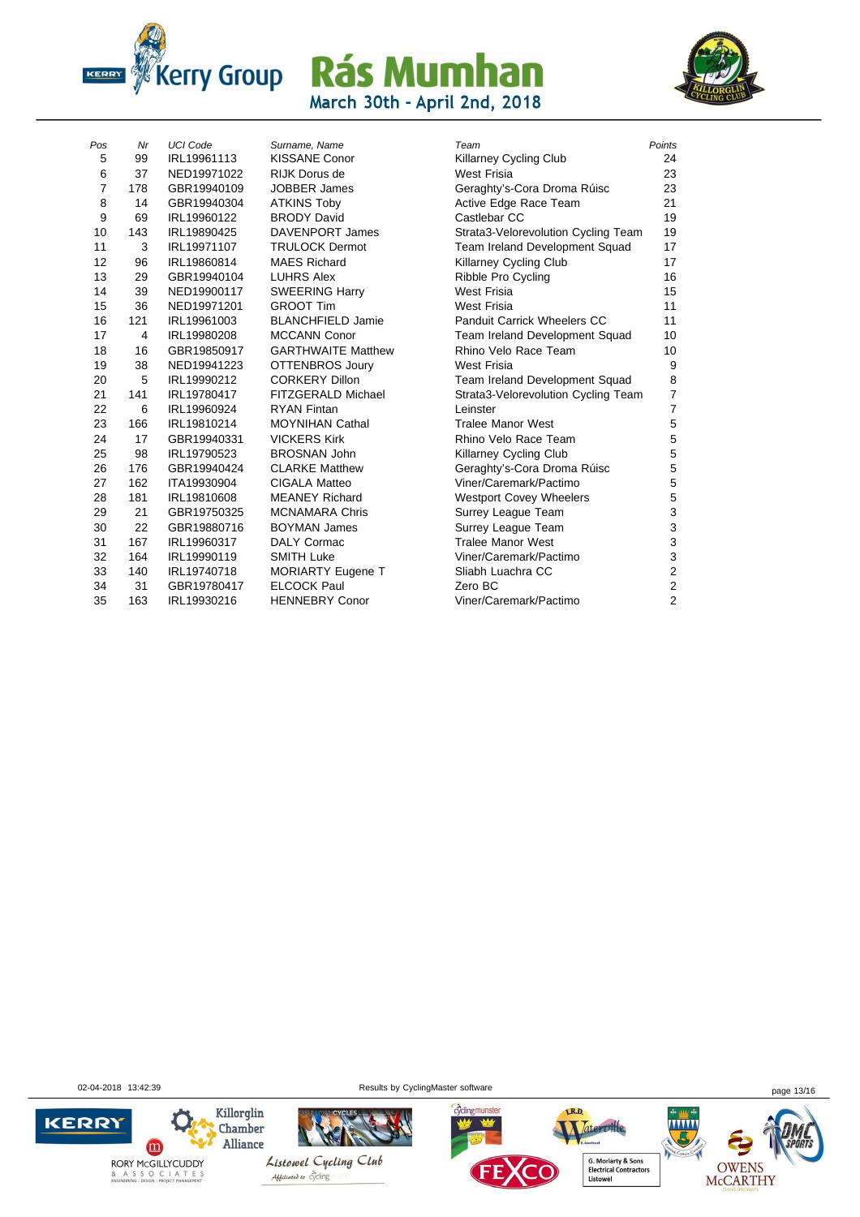



| Pos            | Nr  | <b>UCI Code</b> | Surname, Name             | Team                                | Points         |
|----------------|-----|-----------------|---------------------------|-------------------------------------|----------------|
| 5              | 99  | IRL19961113     | <b>KISSANE Conor</b>      | <b>Killarney Cycling Club</b>       | 24             |
| 6              | 37  | NED19971022     | RIJK Dorus de             | <b>West Frisia</b>                  | 23             |
| $\overline{7}$ | 178 | GBR19940109     | <b>JOBBER James</b>       | Geraghty's-Cora Droma Rúisc         | 23             |
| 8              | 14  | GBR19940304     | <b>ATKINS Toby</b>        | Active Edge Race Team               | 21             |
| 9              | 69  | IRL19960122     | <b>BRODY David</b>        | Castlebar CC                        | 19             |
| 10             | 143 | IRL19890425     | <b>DAVENPORT James</b>    | Strata3-Velorevolution Cycling Team | 19             |
| 11             | 3   | IRL19971107     | <b>TRULOCK Dermot</b>     | Team Ireland Development Squad      | 17             |
| 12             | 96  | IRL19860814     | <b>MAES Richard</b>       | <b>Killarney Cycling Club</b>       | 17             |
| 13             | 29  | GBR19940104     | <b>LUHRS Alex</b>         | Ribble Pro Cycling                  | 16             |
| 14             | 39  | NED19900117     | <b>SWEERING Harry</b>     | <b>West Frisia</b>                  | 15             |
| 15             | 36  | NED19971201     | <b>GROOT Tim</b>          | West Frisia                         | 11             |
| 16             | 121 | IRL19961003     | <b>BLANCHFIELD Jamie</b>  | Panduit Carrick Wheelers CC         | 11             |
| 17             | 4   | IRL19980208     | <b>MCCANN Conor</b>       | Team Ireland Development Squad      | 10             |
| 18             | 16  | GBR19850917     | <b>GARTHWAITE Matthew</b> | Rhino Velo Race Team                | 10             |
| 19             | 38  | NED19941223     | <b>OTTENBROS Joury</b>    | <b>West Frisia</b>                  | 9              |
| 20             | 5   | IRL19990212     | <b>CORKERY Dillon</b>     | Team Ireland Development Squad      | 8              |
| 21             | 141 | IRL19780417     | FITZGERALD Michael        | Strata3-Velorevolution Cycling Team | 7              |
| 22             | 6   | IRL19960924     | <b>RYAN Fintan</b>        | Leinster                            | 7              |
| 23             | 166 | IRL19810214     | <b>MOYNIHAN Cathal</b>    | <b>Tralee Manor West</b>            | 5              |
| 24             | 17  | GBR19940331     | <b>VICKERS Kirk</b>       | Rhino Velo Race Team                | 5              |
| 25             | 98  | IRL19790523     | <b>BROSNAN John</b>       | <b>Killarney Cycling Club</b>       | 5              |
| 26             | 176 | GBR19940424     | <b>CLARKE Matthew</b>     | Geraghty's-Cora Droma Rúisc         | 5              |
| 27             | 162 | ITA19930904     | <b>CIGALA Matteo</b>      | Viner/Caremark/Pactimo              | 5              |
| 28             | 181 | IRL19810608     | <b>MEANEY Richard</b>     | <b>Westport Covey Wheelers</b>      | 5              |
| 29             | 21  | GBR19750325     | <b>MCNAMARA Chris</b>     | Surrey League Team                  | 3              |
| 30             | 22  | GBR19880716     | <b>BOYMAN James</b>       | Surrey League Team                  | 3              |
| 31             | 167 | IRL19960317     | <b>DALY Cormac</b>        | <b>Tralee Manor West</b>            | 3              |
| 32             | 164 | IRL19990119     | <b>SMITH Luke</b>         | Viner/Caremark/Pactimo              | 3              |
| 33             | 140 | IRL19740718     | <b>MORIARTY Eugene T</b>  | Sliabh Luachra CC                   | 2              |
| 34             | 31  | GBR19780417     | <b>ELCOCK Paul</b>        | Zero BC                             | $\overline{c}$ |
| 35             | 163 | IRL19930216     | <b>HENNEBRY Conor</b>     | Viner/Caremark/Pactimo              | 2              |
|                |     |                 |                           |                                     |                |

| <b>Killarney Cycling Club</b><br><b>Nest Frisia</b><br>Geraghty's-Cora Droma Rúisc<br>Active Edge Race Team<br>Castlebar CC<br>Strata3-Velorevolution Cycling Team<br>Feam Ireland Development Squad<br><b>Killarney Cycling Club</b><br>Ribble Pro Cycling<br>Vest Frisia<br><b>Nest Frisia</b><br>Panduit Carrick Wheelers CC<br>Feam Ireland Development Squad<br>Rhino Velo Race Team<br>Vest Frisia<br>Feam Ireland Development Squad<br>Strata3-Velorevolution Cycling Team<br>einster.<br><b>Tralee Manor West</b><br>Rhino Velo Race Team<br><b>Killarney Cycling Club</b><br>Geraghty's-Cora Droma Rúisc<br>/iner/Caremark/Pactimo<br><b>Nestport Covey Wheelers</b><br>Surrey League Team<br>Surrey League Team<br><b>Tralee Manor West</b><br>/iner/Caremark/Pactimo<br>Sliabh Luachra CC<br>Zero BC<br>/iner/Caremark/Pactimo | Team | Points                  |
|-------------------------------------------------------------------------------------------------------------------------------------------------------------------------------------------------------------------------------------------------------------------------------------------------------------------------------------------------------------------------------------------------------------------------------------------------------------------------------------------------------------------------------------------------------------------------------------------------------------------------------------------------------------------------------------------------------------------------------------------------------------------------------------------------------------------------------------------|------|-------------------------|
|                                                                                                                                                                                                                                                                                                                                                                                                                                                                                                                                                                                                                                                                                                                                                                                                                                           |      | 24                      |
|                                                                                                                                                                                                                                                                                                                                                                                                                                                                                                                                                                                                                                                                                                                                                                                                                                           |      | 23                      |
|                                                                                                                                                                                                                                                                                                                                                                                                                                                                                                                                                                                                                                                                                                                                                                                                                                           |      | 23                      |
|                                                                                                                                                                                                                                                                                                                                                                                                                                                                                                                                                                                                                                                                                                                                                                                                                                           |      | 21                      |
|                                                                                                                                                                                                                                                                                                                                                                                                                                                                                                                                                                                                                                                                                                                                                                                                                                           |      | 19                      |
|                                                                                                                                                                                                                                                                                                                                                                                                                                                                                                                                                                                                                                                                                                                                                                                                                                           |      | 19                      |
|                                                                                                                                                                                                                                                                                                                                                                                                                                                                                                                                                                                                                                                                                                                                                                                                                                           |      | 17                      |
|                                                                                                                                                                                                                                                                                                                                                                                                                                                                                                                                                                                                                                                                                                                                                                                                                                           |      | 17                      |
|                                                                                                                                                                                                                                                                                                                                                                                                                                                                                                                                                                                                                                                                                                                                                                                                                                           |      | 16                      |
|                                                                                                                                                                                                                                                                                                                                                                                                                                                                                                                                                                                                                                                                                                                                                                                                                                           |      | 15                      |
|                                                                                                                                                                                                                                                                                                                                                                                                                                                                                                                                                                                                                                                                                                                                                                                                                                           |      | 11                      |
|                                                                                                                                                                                                                                                                                                                                                                                                                                                                                                                                                                                                                                                                                                                                                                                                                                           |      | 11                      |
|                                                                                                                                                                                                                                                                                                                                                                                                                                                                                                                                                                                                                                                                                                                                                                                                                                           |      | 10                      |
|                                                                                                                                                                                                                                                                                                                                                                                                                                                                                                                                                                                                                                                                                                                                                                                                                                           |      | 10                      |
|                                                                                                                                                                                                                                                                                                                                                                                                                                                                                                                                                                                                                                                                                                                                                                                                                                           |      | 9                       |
|                                                                                                                                                                                                                                                                                                                                                                                                                                                                                                                                                                                                                                                                                                                                                                                                                                           |      | 8                       |
|                                                                                                                                                                                                                                                                                                                                                                                                                                                                                                                                                                                                                                                                                                                                                                                                                                           |      | 7                       |
|                                                                                                                                                                                                                                                                                                                                                                                                                                                                                                                                                                                                                                                                                                                                                                                                                                           |      | 7                       |
|                                                                                                                                                                                                                                                                                                                                                                                                                                                                                                                                                                                                                                                                                                                                                                                                                                           |      | 5                       |
|                                                                                                                                                                                                                                                                                                                                                                                                                                                                                                                                                                                                                                                                                                                                                                                                                                           |      | 5                       |
|                                                                                                                                                                                                                                                                                                                                                                                                                                                                                                                                                                                                                                                                                                                                                                                                                                           |      | 5                       |
|                                                                                                                                                                                                                                                                                                                                                                                                                                                                                                                                                                                                                                                                                                                                                                                                                                           |      | 5                       |
|                                                                                                                                                                                                                                                                                                                                                                                                                                                                                                                                                                                                                                                                                                                                                                                                                                           |      | 5                       |
|                                                                                                                                                                                                                                                                                                                                                                                                                                                                                                                                                                                                                                                                                                                                                                                                                                           |      | 5                       |
|                                                                                                                                                                                                                                                                                                                                                                                                                                                                                                                                                                                                                                                                                                                                                                                                                                           |      | 3                       |
|                                                                                                                                                                                                                                                                                                                                                                                                                                                                                                                                                                                                                                                                                                                                                                                                                                           |      | 3                       |
|                                                                                                                                                                                                                                                                                                                                                                                                                                                                                                                                                                                                                                                                                                                                                                                                                                           |      | 3                       |
|                                                                                                                                                                                                                                                                                                                                                                                                                                                                                                                                                                                                                                                                                                                                                                                                                                           |      | 3                       |
|                                                                                                                                                                                                                                                                                                                                                                                                                                                                                                                                                                                                                                                                                                                                                                                                                                           |      | $\overline{\mathbf{c}}$ |
|                                                                                                                                                                                                                                                                                                                                                                                                                                                                                                                                                                                                                                                                                                                                                                                                                                           |      | $\overline{\mathbf{c}}$ |
|                                                                                                                                                                                                                                                                                                                                                                                                                                                                                                                                                                                                                                                                                                                                                                                                                                           |      | $\overline{c}$          |

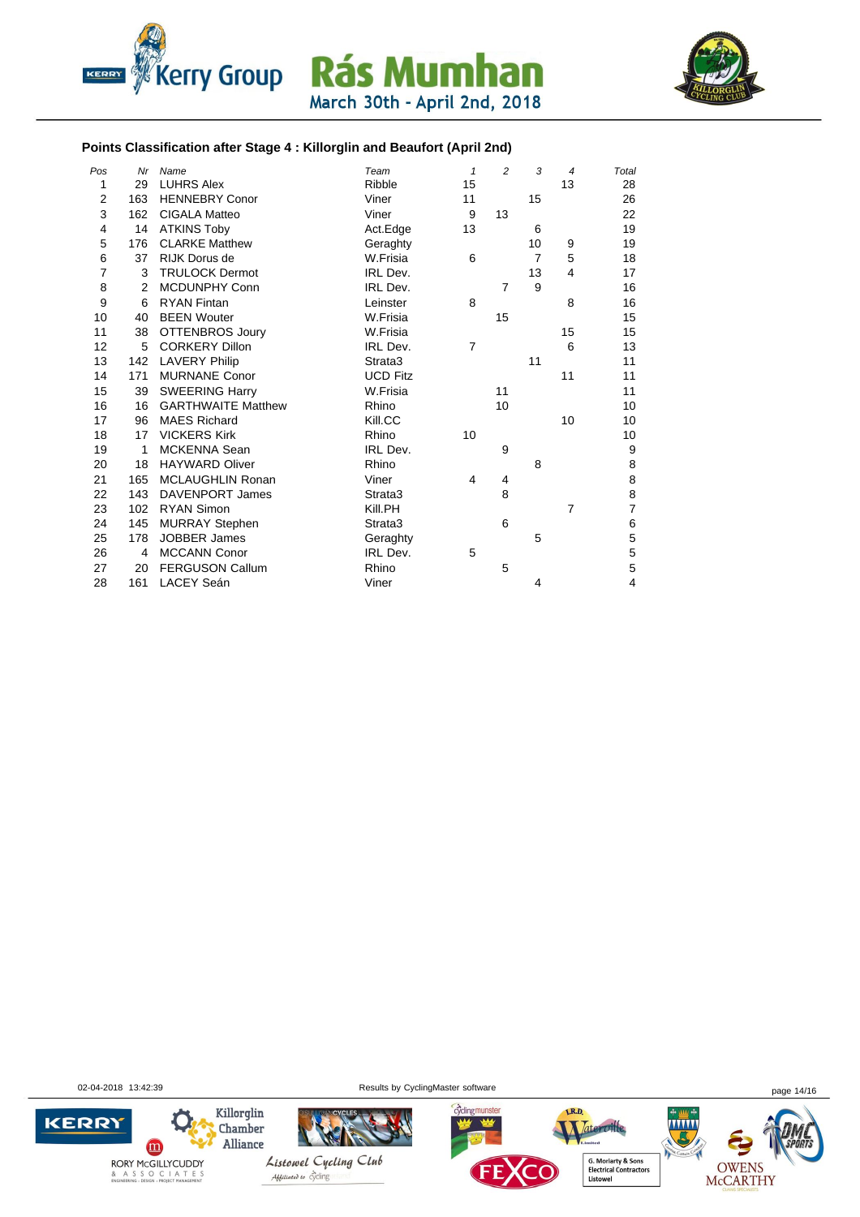



#### **Points Classification after Stage 4 : Killorglin and Beaufort (April 2nd)**

| Pos            | Nr             | Name                      | Team            | $\mathbf{1}$   | $\overline{c}$ | 3              | $\overline{\mathcal{A}}$ | Total          |
|----------------|----------------|---------------------------|-----------------|----------------|----------------|----------------|--------------------------|----------------|
| 1              | 29             | <b>LUHRS Alex</b>         | Ribble          | 15             |                |                | 13                       | 28             |
| $\overline{2}$ | 163            | <b>HENNEBRY Conor</b>     | Viner           | 11             |                | 15             |                          | 26             |
| 3              | 162            | <b>CIGALA Matteo</b>      | Viner           | 9              | 13             |                |                          | 22             |
| $\overline{4}$ | 14             | <b>ATKINS Toby</b>        | Act.Edge        | 13             |                | 6              |                          | 19             |
| 5              | 176            | <b>CLARKE Matthew</b>     | Geraghty        |                |                | 10             | 9                        | 19             |
| 6              | 37             | RIJK Dorus de             | W.Frisia        | 6              |                | $\overline{7}$ | 5                        | 18             |
| $\overline{7}$ | 3              | <b>TRULOCK Dermot</b>     | IRL Dev.        |                |                | 13             | 4                        | 17             |
| 8              | $\overline{2}$ | <b>MCDUNPHY Conn</b>      | IRL Dev.        |                | $\overline{7}$ | 9              |                          | 16             |
| 9              | 6              | <b>RYAN Fintan</b>        | Leinster        | 8              |                |                | 8                        | 16             |
| 10             | 40             | <b>BEEN Wouter</b>        | W.Frisia        |                | 15             |                |                          | 15             |
| 11             | 38             | <b>OTTENBROS Joury</b>    | W.Frisia        |                |                |                | 15                       | 15             |
| 12             | 5              | <b>CORKERY Dillon</b>     | IRL Dev.        | $\overline{7}$ |                |                | 6                        | 13             |
| 13             | 142            | <b>LAVERY Philip</b>      | Strata3         |                |                | 11             |                          | 11             |
| 14             | 171            | <b>MURNANE Conor</b>      | <b>UCD Fitz</b> |                |                |                | 11                       | 11             |
| 15             | 39             | <b>SWEERING Harry</b>     | W.Frisia        |                | 11             |                |                          | 11             |
| 16             | 16             | <b>GARTHWAITE Matthew</b> | Rhino           |                | 10             |                |                          | 10             |
| 17             | 96             | <b>MAES Richard</b>       | Kill.CC         |                |                |                | 10                       | 10             |
| 18             | 17             | <b>VICKERS Kirk</b>       | Rhino           | 10             |                |                |                          | 10             |
| 19             | $\mathbf{1}$   | <b>MCKENNA Sean</b>       | IRL Dev.        |                | 9              |                |                          | 9              |
| 20             | 18             | <b>HAYWARD Oliver</b>     | Rhino           |                |                | 8              |                          | 8              |
| 21             | 165            | <b>MCLAUGHLIN Ronan</b>   | Viner           | 4              | 4              |                |                          | 8              |
| 22             | 143            | <b>DAVENPORT James</b>    | Strata3         |                | 8              |                |                          | 8              |
| 23             | 102            | <b>RYAN Simon</b>         | Kill.PH         |                |                |                | $\overline{7}$           | $\overline{7}$ |
| 24             | 145            | MURRAY Stephen            | Strata3         |                | 6              |                |                          | 6              |
| 25             | 178            | <b>JOBBER James</b>       | Geraghty        |                |                | 5              |                          | 5              |
| 26             | 4              | <b>MCCANN Conor</b>       | IRL Dev.        | 5              |                |                |                          | 5              |
| 27             | 20             | <b>FERGUSON Callum</b>    | Rhino           |                | 5              |                |                          | 5              |
| 28             | 161            | <b>LACEY Seán</b>         | Viner           |                |                | 4              |                          | $\overline{4}$ |

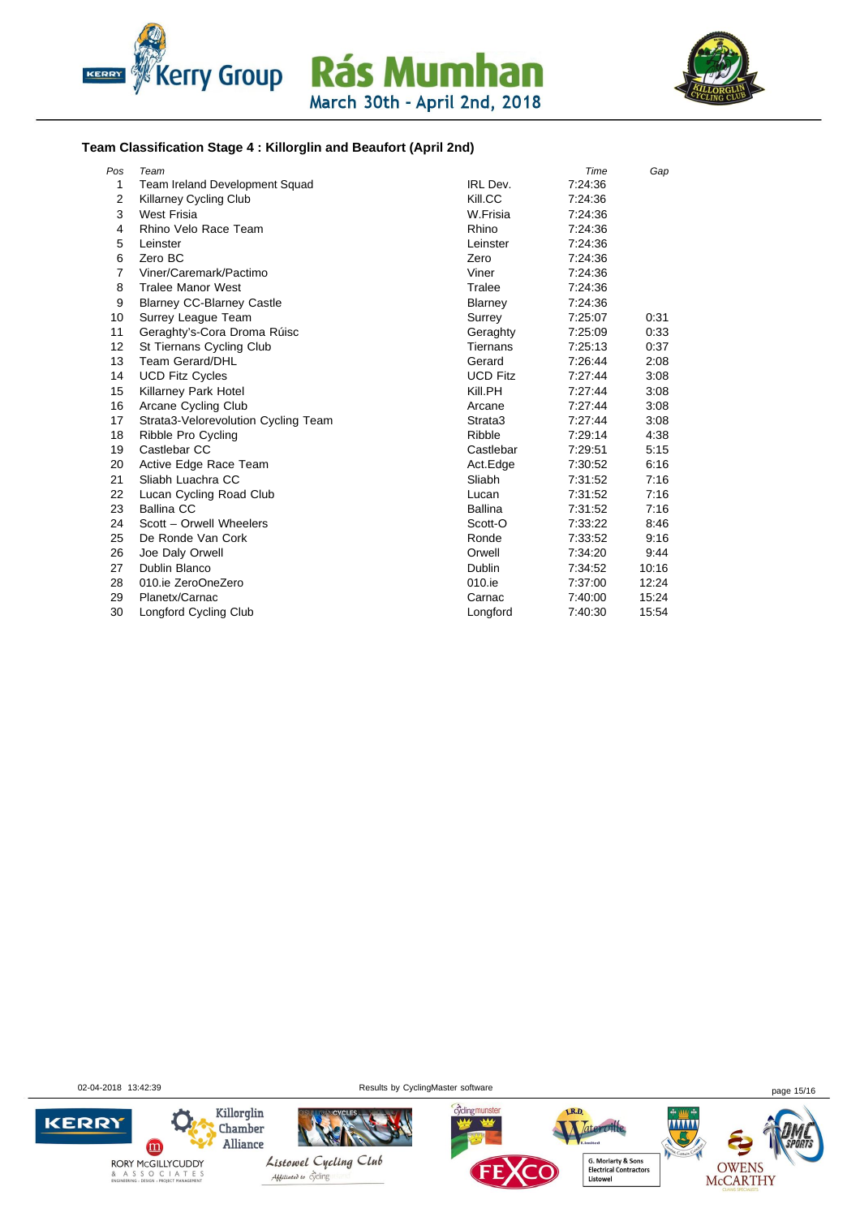



#### **Team Classification Stage 4 : Killorglin and Beaufort (April 2nd)**

| Pos            | Team                                |                 | Time    | Gap   |
|----------------|-------------------------------------|-----------------|---------|-------|
| 1              | Team Ireland Development Squad      | IRL Dev.        | 7:24:36 |       |
| $\overline{2}$ | <b>Killarney Cycling Club</b>       | Kill.CC         | 7:24:36 |       |
| 3              | <b>West Frisia</b>                  | W.Frisia        | 7:24:36 |       |
| 4              | Rhino Velo Race Team                | Rhino           | 7:24:36 |       |
| 5              | Leinster                            | Leinster        | 7.24.36 |       |
| 6              | Zero BC                             | Zero            | 7:24:36 |       |
| $\overline{7}$ | Viner/Caremark/Pactimo              | Viner           | 7:24:36 |       |
| 8              | <b>Tralee Manor West</b>            | Tralee          | 7:24:36 |       |
| 9              | <b>Blarney CC-Blarney Castle</b>    | Blarney         | 7:24:36 |       |
| 10             | Surrey League Team                  | Surrey          | 7:25:07 | 0:31  |
| 11             | Geraghty's-Cora Droma Rúisc         | Geraghty        | 7:25:09 | 0:33  |
| 12             | St Tiernans Cycling Club            | <b>Tiernans</b> | 7:25:13 | 0:37  |
| 13             | Team Gerard/DHL                     | Gerard          | 7:26:44 | 2:08  |
| 14             | <b>UCD Fitz Cycles</b>              | <b>UCD Fitz</b> | 7:27:44 | 3:08  |
| 15             | Killarney Park Hotel                | Kill.PH         | 7:27:44 | 3:08  |
| 16             | Arcane Cycling Club                 | Arcane          | 7:27:44 | 3:08  |
| 17             | Strata3-Velorevolution Cycling Team | Strata3         | 7:27:44 | 3:08  |
| 18             | Ribble Pro Cycling                  | Ribble          | 7:29:14 | 4:38  |
| 19             | Castlebar CC                        | Castlebar       | 7:29:51 | 5:15  |
| 20             | Active Edge Race Team               | Act.Edge        | 7:30:52 | 6:16  |
| 21             | Sliabh Luachra CC                   | Sliabh          | 7:31:52 | 7:16  |
| 22             | Lucan Cycling Road Club             | Lucan           | 7:31:52 | 7:16  |
| 23             | <b>Ballina CC</b>                   | Ballina         | 7:31:52 | 7:16  |
| 24             | Scott - Orwell Wheelers             | Scott-O         | 7:33:22 | 8:46  |
| 25             | De Ronde Van Cork                   | Ronde           | 7:33:52 | 9:16  |
| 26             | Joe Daly Orwell                     | Orwell          | 7:34:20 | 9:44  |
| 27             | Dublin Blanco                       | Dublin          | 7:34:52 | 10:16 |
| 28             | 010.ie ZeroOneZero                  | 010.ie          | 7:37:00 | 12:24 |
| 29             | Planetx/Carnac                      | Carnac          | 7:40:00 | 15:24 |
| 30             | Longford Cycling Club               | Longford        | 7:40:30 | 15:54 |